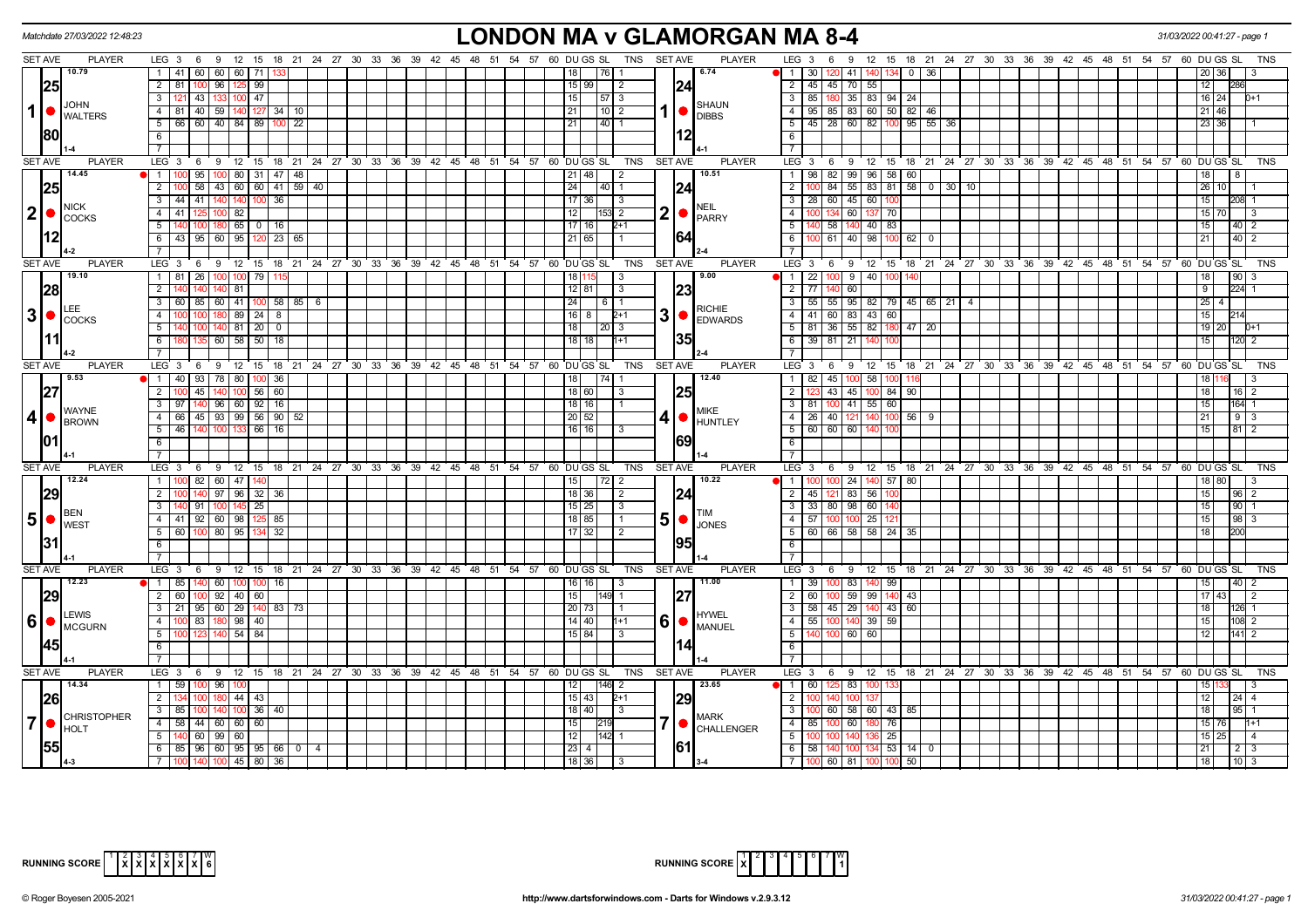|                | Matchdate 27/03/2022 12:48:23                       |                                                                                         | <b>LONDON MA v GLAMORGAN MA 8-4</b>                                                                                                                             |                                                                                                        | 31/03/2022 00:41:27 - page 1                    |
|----------------|-----------------------------------------------------|-----------------------------------------------------------------------------------------|-----------------------------------------------------------------------------------------------------------------------------------------------------------------|--------------------------------------------------------------------------------------------------------|-------------------------------------------------|
| <b>SET AVE</b> | <b>PLAYER</b>                                       | LEG 3 6 9 12 15 18 21 24 27 30 33 36 39 42 45 48 51 54 57 60 DUGS SL TNS SETAVE         | <b>PLAYER</b>                                                                                                                                                   | LEG 3 6 9 12 15 18 21 24 27 30 33 36 39 42 45 48 51 54 57 60 DUGS SL                                   | TNS                                             |
|                | 10.79                                               | 1 41 60 60 60 71                                                                        | 6.74<br>l 76 I 1                                                                                                                                                | $11$ 1 1 30   120<br>141 T<br>0 36                                                                     | 20 36                                           |
|                | 25                                                  | 2 81 100 96 125 99                                                                      | 24<br>15 99 <br>$\overline{2}$                                                                                                                                  | 2 45 45 70 55                                                                                          | 12                                              |
|                | <b>JOHN</b>                                         | $100$ 47<br>$\overline{3}$<br>121 43 133                                                | 15 <br> 57 3<br><b>SHAUN</b>                                                                                                                                    | 3   85   180   35   83   94   24                                                                       | 16 24<br>$D+1$                                  |
|                | $\vert 1 \vert$ $\bullet$ $\vert_{\text{WALTERS}}$  | $\overline{4}$<br>81 40 59 140 127 34 10                                                | 21 <br>  10   2<br>$\bigcup_{\text{DIBBS}}$                                                                                                                     | 4 95 85 83 60 50 82 46                                                                                 | $21$ 46                                         |
|                |                                                     | 66 60 40 84 89 100 22<br>5                                                              | $\boxed{40}$ 1<br> 21                                                                                                                                           | $5   45   28   60   82   100   95   55   36$                                                           | 23 36                                           |
|                | 80                                                  | 6                                                                                       |                                                                                                                                                                 | - 6 I                                                                                                  |                                                 |
|                |                                                     | $\overline{7}$                                                                          |                                                                                                                                                                 | $\overline{7}$                                                                                         |                                                 |
| <b>SET AVE</b> | <b>PLAYER</b>                                       | LEG <sub>3</sub><br>6 9 12 15 18 21 24 27 30 33 36 39 42 45 48 51 54 57 60 DUGS SL      | TNS<br><b>SET AVE</b><br><b>PLAYER</b>                                                                                                                          | LEG 3 6 9 12 15 18 21 24 27 30 33 36 39 42 45 48 51 54 57 60 DUGS SL                                   | TNS                                             |
|                | 14.45                                               | 1<br>0 95 100 80 31 47 48                                                               | 10.51<br> 21 48 <br>$\sqrt{2}$                                                                                                                                  | 1   98   82   99   96   58   60                                                                        | 18                                              |
|                | 25                                                  | $\overline{2}$<br>58 43 60 60 41 59 40                                                  | 24 <br> 24<br> 40 1                                                                                                                                             | $\overline{2}$<br>84 55 83 81 58 0 30 10                                                               | 26<br>10 <sub>1</sub>                           |
|                | <b>NICK</b>                                         | 3 <sup>7</sup><br>44 41<br>140 100 36<br>140                                            | $17$ 36<br>$\vert$ 3<br><b>NEIL</b>                                                                                                                             | $3 \mid 28 \mid 60 \mid 45 \mid 60$                                                                    | 15<br>208 1                                     |
| 2 ●            | <b>COCKS</b>                                        | $\overline{4}$<br>41 125 100 82                                                         | $2$ $\bullet$ $PARTY$<br>  12  <br>1531 2                                                                                                                       | 4 I<br>100 134 60 137 70                                                                               | 15 70<br>-3                                     |
|                |                                                     | 5<br>$180$ 65   0   16                                                                  | 17   16  <br>$2+1$                                                                                                                                              | 51<br>  58   140   40   83                                                                             | 15 <sup>1</sup><br>$40 \mid 2$                  |
|                |                                                     | 6<br>43 95 60 95 120<br>23 65                                                           | 164<br>21 65                                                                                                                                                    | 61 40 98<br>- 6 I<br>$100 \ 62 \ 0$                                                                    | 21<br>$40 \mid 2$                               |
|                |                                                     |                                                                                         |                                                                                                                                                                 | $\overline{7}$                                                                                         |                                                 |
| <b>SET AVE</b> | <b>PLAYER</b>                                       | $12 \quad 15$<br>LEG 3<br>9<br>- 6                                                      | 18 21 24 27 30 33 36 39 42 45 48 51 54 57 60 DUGS SL<br>TNS<br><b>SET AVE</b><br><b>PLAYER</b>                                                                  | LEG 3<br>9 12 15 18 21 24 27 30 33 36 39 42 45 48 51 54 57 60 DUGS SL<br>6                             | <b>TNS</b>                                      |
|                | 19.10                                               | 1 81 26 100 100 79                                                                      | 9.00<br>18 l<br>l 3                                                                                                                                             | $1 \t 22 \t 100 \t 9 \t 40 \t 100$                                                                     | 18<br> 90                                       |
|                | 28                                                  | $\overline{2}$<br>81<br>140                                                             | 23 <br>12 81 <br>$\vert$ 3                                                                                                                                      | 2 77 140<br>60                                                                                         | 9<br>224 1                                      |
|                |                                                     | 60   85   60   41   100   58   85   6<br>$\overline{3}$                                 | 24 <br>611<br><b>RICHIE</b>                                                                                                                                     | $3 \mid 55 \mid 55 \mid 95 \mid 82 \mid 79 \mid 45 \mid 65 \mid 21 \mid 4$                             | 25<br>4 <sup>1</sup>                            |
| 3 •            | <b>COCKS</b>                                        | $89 \mid 24 \mid$<br>$\Delta$<br>8                                                      | $3$ $\bullet$ $\overline{\phantom{a}}$ $\overline{\phantom{a}}$ $\overline{\phantom{a}}$ $\overline{\phantom{a}}$ $\overline{\phantom{a}}$<br>I 16 I 8<br>$2+1$ | 83 43<br>4   41   60  <br>60                                                                           | 15                                              |
|                |                                                     | 140 81 20<br>5<br>$\mathbf 0$                                                           | l 18 l<br>20 3                                                                                                                                                  | 5 81 36 55 82<br>180 47 20                                                                             | 19 20<br>$D+1$                                  |
|                |                                                     | 60 58 50 18<br>$6\overline{6}$                                                          | 135<br>  18   18  <br>$h+1$                                                                                                                                     | 6 39 81 21                                                                                             | 120 2<br>15                                     |
|                |                                                     | $\overline{7}$                                                                          |                                                                                                                                                                 | $\overline{7}$                                                                                         |                                                 |
| <b>SET AVE</b> | <b>PLAYER</b><br>9.53                               | LEG <sub>3</sub><br>9 12 15 18 21 24 27 30 33 36 39 42 45 48 51 54 57 60 DUGS SL<br>- 6 | <b>PLAYER</b><br>TNS<br><b>SET AVE</b><br>12.40                                                                                                                 | LEG <sub>3</sub><br>9<br>12 15 18 21 24 27 30 33 36 39 42 45 48 51 54 57 60 DUGS SL<br>- 6<br>$1$   82 | <b>TNS</b>                                      |
|                |                                                     | 1 40 93 78 80<br>100 36                                                                 | 18<br>- 3                                                                                                                                                       | 45<br>58                                                                                               | 18                                              |
| 27             |                                                     | 2 100 45 140 100 56 60<br>$97$   140   96   60   92   16  <br>$\overline{3}$            | 25 <br>18 60 <br>$18$   16                                                                                                                                      | 2<br>43 45 100 84 90<br>3   81   100   41   55   60                                                    | $16$   2<br>15<br>164 1                         |
| 4              | <b>I</b> WAYNE                                      | 66 45 93 99 56 90 52<br>$\overline{4}$                                                  | <b>MIKE</b><br>  20   52                                                                                                                                        | 4 26 40 121 140<br>$100$ 56   9                                                                        | 21<br>$9 \mid 3$                                |
|                | BROWN                                               | 5<br>$-46$<br>140 100 133 66 16                                                         | 4 I '<br>HUNTLEY<br>16   16  <br>l 3                                                                                                                            | 5   60   60   60   140                                                                                 | 15<br>81 2                                      |
| 101            |                                                     | 6                                                                                       | 169                                                                                                                                                             | $6$                                                                                                    |                                                 |
|                |                                                     | $\overline{7}$                                                                          |                                                                                                                                                                 | $\overline{7}$                                                                                         |                                                 |
| <b>SET AVE</b> | <b>PLAYER</b>                                       | LEG <sub>3</sub><br>6 9 12 15 18 21 24 27 30 33 36                                      | 39 42 45 48 51 54 57 60 DUGS SL<br><b>TNS</b><br><b>SET AVE</b><br><b>PLAYER</b>                                                                                | LEG 3<br>9 12 15 18 21 24 27 30 33 36 39 42 45 48 51 54 57 60 DUGS SL<br>6                             | TNS                                             |
|                | 12.24                                               | 1 100 82 60 47 140                                                                      | 10.22<br> 15                                                                                                                                                    | 1 100 100 24 140 57<br>80                                                                              | 18 80<br>3                                      |
|                | 29                                                  | $\overline{2}$<br>140 97 96 32<br>36                                                    | 18 36 <br>24<br>$\vert$ 2                                                                                                                                       | 2   45   121<br>83 56                                                                                  | 15<br>$96 \quad 2$                              |
|                |                                                     | $\overline{3}$<br>91   100<br>$145$ 25                                                  | 15 25 <br>$\vert 3 \vert$                                                                                                                                       | 3 3 3 8 9 9 6 6                                                                                        | 15 <sup>1</sup><br>9011                         |
| $5\bullet$     | <b>BEN</b>                                          | 4 4 41 92 60 98 125 85                                                                  | $5$ $\bullet$<br>18 85 <br>l 1                                                                                                                                  | 4 57 100 100 25                                                                                        | 98 3<br>15                                      |
|                | <b>I</b> WEST                                       | 5 60 100 80 95 134 32                                                                   | <b>JONES</b><br>  17   32  <br>l 2                                                                                                                              | 5 60 66 58 58 24 35                                                                                    | 18 <sup>1</sup><br>200                          |
|                |                                                     | 6                                                                                       | 95                                                                                                                                                              | 6                                                                                                      |                                                 |
|                |                                                     | $\overline{7}$                                                                          |                                                                                                                                                                 | <b>7</b> I                                                                                             |                                                 |
| <b>SET AVE</b> | <b>PLAYER</b>                                       | LEG 3 6 9 12 15 18 21 24 27 30 33 36 39 42 45 48 51 54 57 60 DUGS SL                    | TNS<br><b>SET AVE</b><br><b>PLAYER</b>                                                                                                                          | LEG 3 6 9 12 15 18 21 24 27 30 33 36 39 42 45 48 51 54 57 60 DUGS SL                                   | TNS                                             |
|                | 12.23                                               | 1 85 140 60 100<br>$100$ 16                                                             | 11.00<br>$16$ 16<br>$\vert$ 3                                                                                                                                   | 1 39 100 83 140 99                                                                                     | 15<br> 40 <br>2                                 |
|                | 29                                                  | 100 92 40 60<br>$2 \mid 60 \mid$                                                        | 27<br> 15 <br> 149  1                                                                                                                                           | 2   60   100   59   99   140<br> 43                                                                    | $17 \overline{\smash{)}\,43}$<br>$\overline{2}$ |
|                |                                                     | 3 21 95 60 29 140 83 73                                                                 | 20 73                                                                                                                                                           | $3$ 58 45 29 140 43 60                                                                                 | 18<br>126 1                                     |
|                | LEWIS<br>$ 6 $ $\bullet$ $ $ $\frac{LEVIO}{MCGURN}$ | $\overline{4}$<br>$100$ 83<br>98   40                                                   | <b>HYWEL</b><br>6 • <br>  14   40  <br>$1 + 1$<br><b>MANUEL</b>                                                                                                 | 4 55 100 140 39<br>59                                                                                  | 15<br>108 2                                     |
|                |                                                     | $54$ 84<br>$5\overline{5}$                                                              | 15 84                                                                                                                                                           | $5 \vert$<br>60 60<br>100                                                                              | 12<br>$141$ 2                                   |
|                | 1451                                                | 6                                                                                       |                                                                                                                                                                 | 6                                                                                                      |                                                 |
|                |                                                     | $7\overline{ }$                                                                         |                                                                                                                                                                 | $\overline{7}$                                                                                         |                                                 |
| <b>SET AVE</b> | <b>PLAYER</b>                                       | LEG 3 6 9 12 15 18 21 24 27 30 33 36 39 42 45 48 51 54 57 60 DUGS SL                    | <b>PLAYER</b><br>TNS<br><b>SET AVE</b>                                                                                                                          | LEG 3 6 9 12 15 18 21 24 27 30 33 36 39 42 45 48 51 54 57 60 DUGS SL                                   | TNS                                             |
|                | 14.34                                               | 1 59 1<br>96                                                                            | 23.65<br>$146$ 2<br>12                                                                                                                                          | $\bullet$ 1 60<br>83                                                                                   |                                                 |
|                | <b>26</b>                                           | 2 134<br>$44 \mid 43$                                                                   | 29 <br>$2+1$<br>15 43                                                                                                                                           | 2                                                                                                      | 12<br>$24 \mid 4$                               |
|                | <b>CHRISTOPHER</b>                                  | $3 \mid 85 \mid$<br>140 100 36 40<br><b>1001</b>                                        | 18   40  <br>l 3<br><b>MARK</b>                                                                                                                                 | $\overline{\phantom{a}3}$<br>100 60 58 60 43<br>85                                                     | 18<br>95 I                                      |
| $\overline{7}$ | <b>I</b> HOLT                                       | $4$ 58 44 60 60 60                                                                      | 15 <br>219<br>CHALLENGER                                                                                                                                        | $4$ 85 100 60<br>76<br>180                                                                             | 15 76 <br>$1 + 1$                               |
|                |                                                     | $\overline{5}$<br>140 60 99 60                                                          | 12 <br>142 1                                                                                                                                                    | $5\vert$<br>25<br>100                                                                                  | $15 \ 25$<br>$\overline{4}$                     |
|                | <b>155</b>                                          | 6 85 96 60 95 95 66 0 4                                                                 | 61                                                                                                                                                              | 6   58   140   100   134   53   14   0                                                                 | 21<br>1213                                      |
|                |                                                     | 7   100   140   100   45   80   36                                                      | $\vert 18 \vert 36 \vert$ $\vert 3$                                                                                                                             | 7   100   60   81   100   100  <br>-50                                                                 | 18<br>$110$ 3                                   |



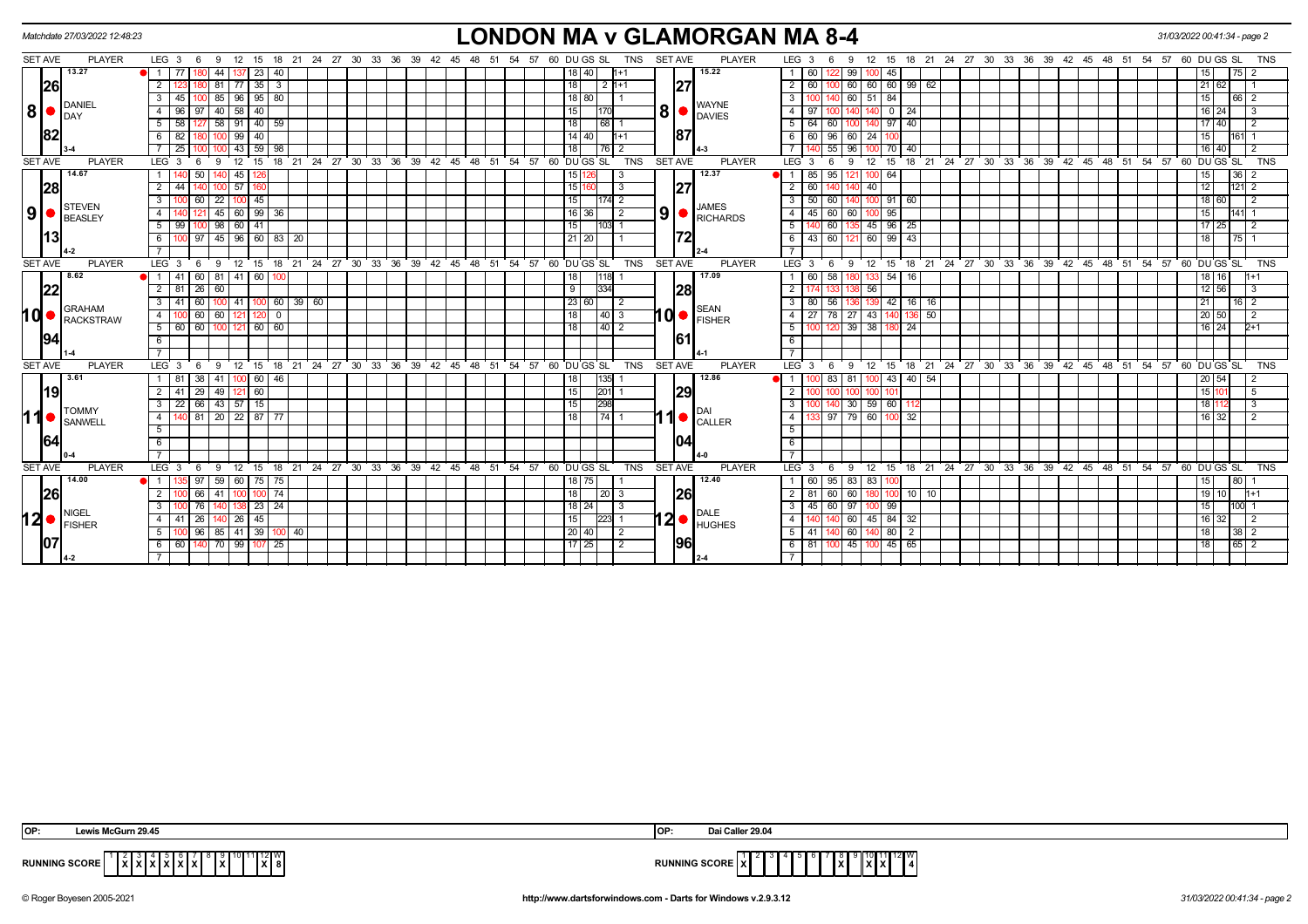|     |                | Matchdate 27/03/2022 12:48:23         |                              |                  |              |                                                            |               |             |       |            |                   |          |      |    |          |              |                    |   |                | <b>LONDON MA v GLAMORGAN MA 8-4</b>                                                                                                                                                                                                                                                                                                                                                                                                         |                               |         |                        |                |                                  |  |  |                                        |  |                                                       | 31/03/2022 00:41:34 - page 2 |                             |             |                |
|-----|----------------|---------------------------------------|------------------------------|------------------|--------------|------------------------------------------------------------|---------------|-------------|-------|------------|-------------------|----------|------|----|----------|--------------|--------------------|---|----------------|---------------------------------------------------------------------------------------------------------------------------------------------------------------------------------------------------------------------------------------------------------------------------------------------------------------------------------------------------------------------------------------------------------------------------------------------|-------------------------------|---------|------------------------|----------------|----------------------------------|--|--|----------------------------------------|--|-------------------------------------------------------|------------------------------|-----------------------------|-------------|----------------|
|     | SET AVE        | <b>PLAYER</b>                         | $LEG_36$                     | - 9              |              | 12 15 18 21 24 27 30 33 36 39 42 45 48 51 54 57 60 DUGS SL |               |             |       |            |                   |          |      |    |          |              | TNS                |   | <b>SET AVE</b> | <b>PLAYER</b>                                                                                                                                                                                                                                                                                                                                                                                                                               | LEG <sub>3</sub>              | 6       | -9<br>12               | 15             |                                  |  |  |                                        |  | 18 21 24 27 30 33 36 39 42 45 48 51 54 57 60 DU GS SL |                              |                             |             | <b>TNS</b>     |
|     |                | 13.27                                 | -77<br>1 I                   | 44               |              | 23 I<br>40                                                 |               |             |       |            |                   |          |      |    |          | 18   40      |                    |   |                | 15.22                                                                                                                                                                                                                                                                                                                                                                                                                                       | 60.                           |         | 99 I                   | 45             |                                  |  |  |                                        |  |                                                       |                              | 15 I                        | I 75 I      |                |
|     | 26             |                                       | $\overline{2}$               | 81               | -77          | 35<br>$\overline{\mathbf{3}}$                              |               |             |       |            |                   |          |      |    | 18       | -2           | $11+1$             |   | 27             |                                                                                                                                                                                                                                                                                                                                                                                                                                             | 60<br>2                       |         | 60 60                  | 60             | 99   62                          |  |  |                                        |  |                                                       |                              | 21  <br>62                  |             |                |
|     |                | DANIEL                                | 3<br>45                      | 85               |              | 96   95   80                                               |               |             |       |            |                   |          |      |    |          | 18 80        |                    |   |                | <b>WAYNE</b>                                                                                                                                                                                                                                                                                                                                                                                                                                | 3                             |         | 60 51 84               |                |                                  |  |  |                                        |  |                                                       |                              | 15                          | 66 2        |                |
|     | 8 •            | <b>I</b> DAY                          | 4<br>96                      | 40               | 58           | 40                                                         |               |             |       |            |                   |          |      |    | 15       |              |                    | 8 |                | <b>DAVIES</b>                                                                                                                                                                                                                                                                                                                                                                                                                               |                               |         |                        | $\overline{0}$ | -24                              |  |  |                                        |  |                                                       |                              | 16   24                     |             |                |
|     |                |                                       | 5 <sup>5</sup><br>58         |                  |              | 58 91 40 59                                                |               |             |       |            |                   |          |      |    | l 18 l   |              | 68 1               |   |                |                                                                                                                                                                                                                                                                                                                                                                                                                                             | 5<br>64                       | 60      |                        | 140 97 40      |                                  |  |  |                                        |  |                                                       |                              | 17 40                       |             | 2              |
|     | 82             |                                       | 6<br>82                      |                  | 99   40      |                                                            |               |             |       |            |                   |          |      |    |          | 14   40      | l1+1               |   | 187            |                                                                                                                                                                                                                                                                                                                                                                                                                                             |                               | 96      | 60 24                  |                |                                  |  |  |                                        |  |                                                       |                              | 15                          | 161         |                |
|     |                |                                       | 25                           |                  |              | 43 59 98                                                   |               |             |       |            |                   |          |      |    | 18 I     |              | 76   2             |   |                |                                                                                                                                                                                                                                                                                                                                                                                                                                             |                               | 55      | 96 I                   | 70             | 40                               |  |  |                                        |  |                                                       |                              | 16 40                       |             | $\mathcal{P}$  |
|     | <b>SET AVE</b> | <b>PLAYER</b>                         | <b>LEG</b><br>$\mathbf{3}$   | $\mathbf{Q}$     | 12           | 18<br>15                                                   | $^{\circ}$ 21 | 24 27 30    | 33 36 | 39         | 42 45 48 51 54 57 |          |      |    |          | 60 DU GS SL  | TNS                |   | <b>SET AVE</b> | <b>PLAYER</b>                                                                                                                                                                                                                                                                                                                                                                                                                               | LEG <sup>3</sup>              | -6      | 12<br><sub>9</sub>     | 15             | 18 21                            |  |  |                                        |  | 24 27 30 33 36 39 42 45 48 51 54 57 60 DUGS SL        |                              |                             |             | <b>TNS</b>     |
|     |                | 14.67                                 |                              | 50               | 45           |                                                            |               |             |       |            |                   |          |      |    |          | 15 12        | -3                 |   |                | 12.37                                                                                                                                                                                                                                                                                                                                                                                                                                       | 85                            | 95      | 121 100 64             |                |                                  |  |  |                                        |  |                                                       |                              | 15                          | 36          |                |
|     | 28             |                                       | $\overline{2}$               |                  | 57           |                                                            |               |             |       |            |                   |          |      |    | 1511     |              |                    |   | 27             |                                                                                                                                                                                                                                                                                                                                                                                                                                             |                               |         | 40                     |                |                                  |  |  |                                        |  |                                                       |                              | 12                          | 121         | 2              |
|     |                | STEVEN                                | 3                            | 22               |              | 45                                                         |               |             |       |            |                   |          |      |    | 15       |              | 174  2             |   |                | <b>JAMES</b>                                                                                                                                                                                                                                                                                                                                                                                                                                | 50<br>-3                      | 60      |                        | 100 91         | 60                               |  |  |                                        |  |                                                       |                              | 18 <sup>1</sup><br>60       |             |                |
| 9   |                | <b>BEASLEY</b>                        | 4                            | 45               |              | 60   99   36                                               |               |             |       |            |                   |          |      |    |          | 16 36        | 2                  |   | 9 <sub>l</sub> | <b>RICHARDS</b>                                                                                                                                                                                                                                                                                                                                                                                                                             | 45 I<br>-4                    | 60      | 60 100 95              |                |                                  |  |  |                                        |  |                                                       |                              | 15 I                        | 141         |                |
|     |                |                                       | 5<br>99                      | 98               | 60           | 41                                                         |               |             |       |            |                   |          |      |    | 15       |              | 1031 1             |   |                |                                                                                                                                                                                                                                                                                                                                                                                                                                             | -5                            | 60      |                        | 45 96 25       |                                  |  |  |                                        |  |                                                       |                              | 17 I<br><b>25</b>           |             |                |
|     | 13             |                                       | 6                            |                  |              | 100 97 45 96 60 83 20                                      |               |             |       |            |                   |          |      |    |          | $21 \, 20$   |                    |   | 172            |                                                                                                                                                                                                                                                                                                                                                                                                                                             | - 6                           | 43   60 | 121 60 99 43           |                |                                  |  |  |                                        |  |                                                       |                              | 18                          | $17511$     |                |
|     |                |                                       |                              |                  |              |                                                            |               |             |       |            |                   |          |      |    |          |              |                    |   |                |                                                                                                                                                                                                                                                                                                                                                                                                                                             |                               |         |                        |                |                                  |  |  |                                        |  |                                                       |                              |                             |             |                |
|     | <b>SET AVE</b> | <b>PLAYER</b>                         | LEG <sub>3</sub><br>- 6      | 9                |              | 12 15 18 21 24 27 30 33 36 39 42 45 48 51 54 57 60 DUGS SL |               |             |       |            |                   |          |      |    |          |              | <b>TNS</b>         |   | <b>SET AVE</b> | <b>PLAYER</b>                                                                                                                                                                                                                                                                                                                                                                                                                               | LEG <sup>3</sup>              | 6       | 9                      | 12 15          |                                  |  |  |                                        |  | 18 21 24 27 30 33 36 39 42 45 48 51 54 57 60 DUGS SL  |                              |                             |             | <b>TNS</b>     |
|     |                | 8.62                                  | -41                          | 81<br>60         | l 41         | 60                                                         |               |             |       |            |                   |          |      |    | 18 I     | 1118         |                    |   |                | 17.09                                                                                                                                                                                                                                                                                                                                                                                                                                       |                               | 58      |                        | 54             | 16                               |  |  |                                        |  |                                                       |                              | 18   16                     |             |                |
|     | 22             |                                       | 2 81 26                      | 60               |              |                                                            |               |             |       |            |                   |          |      |    | 9        |              | 334                |   | 28             |                                                                                                                                                                                                                                                                                                                                                                                                                                             | $\overline{2}$                |         | 56                     |                |                                  |  |  |                                        |  |                                                       |                              | $12 \ 56$                   |             | <u>E</u>       |
|     |                | <b>GRAHAM</b>                         | 3                            |                  | -41          | $100$ 60 39 60                                             |               |             |       |            |                   |          |      |    |          | 23 60        |                    |   |                | <b>SEAN</b>                                                                                                                                                                                                                                                                                                                                                                                                                                 |                               | 56      |                        | 42             | 16   16                          |  |  |                                        |  |                                                       |                              |                             | $16$   2    |                |
| hd• |                | <b>RACKSTRAW</b>                      | $\overline{4}$               | 60<br>60         | 121          | $\mathbf 0$                                                |               |             |       |            |                   |          |      |    | 18       |              | $\vert 40 \vert 3$ |   | 10 d           | <b>FISHER</b>                                                                                                                                                                                                                                                                                                                                                                                                                               | $\overline{4}$                | 78 I    | $27 \mid 43 \mid$      | 140            | 50<br>136                        |  |  |                                        |  |                                                       |                              | 20 50                       |             | $\overline{2}$ |
|     |                |                                       | $5 \vert$<br>60<br>60        | 100 <sub>l</sub> | 121          | 60 60                                                      |               |             |       |            |                   |          |      |    | 18       |              | 40 2               |   |                |                                                                                                                                                                                                                                                                                                                                                                                                                                             | 5                             |         | $39$ $38$              |                | 24                               |  |  |                                        |  |                                                       |                              | $16 \overline{\smash{)}24}$ |             | $2+1$          |
|     | 94             |                                       | 6                            |                  |              |                                                            |               |             |       |            |                   |          |      |    |          |              |                    |   | 161            |                                                                                                                                                                                                                                                                                                                                                                                                                                             | - 6                           |         |                        |                |                                  |  |  |                                        |  |                                                       |                              |                             |             |                |
|     |                |                                       |                              |                  |              |                                                            |               |             |       |            |                   |          |      |    |          |              |                    |   |                |                                                                                                                                                                                                                                                                                                                                                                                                                                             |                               |         |                        |                |                                  |  |  |                                        |  |                                                       |                              |                             |             |                |
|     | <b>SET AVE</b> | <b>PLAYER</b><br>3.61                 | LEG <sub>3</sub><br>-6       | 9                | $12^{\circ}$ | 18<br>15                                                   | $^{\circ}$ 21 | 24 27 30    | 33 36 | $\cdot$ 39 | 42 45             | 48 51 54 |      | 57 |          | 60 DU GS SL  | <b>TNS</b>         |   | <b>SET AVE</b> | <b>PLAYER</b>                                                                                                                                                                                                                                                                                                                                                                                                                               | $LEG^3$ 3                     |         | 9<br>$12 \overline{ }$ | 15             | 18 <sup>°</sup><br>$^{\circ}$ 21 |  |  | 24 27 30 33 36 39 42 45 48 51 54       |  | 57                                                    |                              | 60 DU GS SL                 |             | <b>TNS</b>     |
|     |                |                                       | -81<br>2<br>-29              | 41<br>38<br>49   |              | 60   46                                                    |               |             |       |            |                   |          |      |    | 18 I     |              | 135 <br> 201       |   |                | 12.86                                                                                                                                                                                                                                                                                                                                                                                                                                       |                               | 83      | -81                    | 43             | 40   54                          |  |  |                                        |  |                                                       |                              | 20 54<br>15 <sup>1</sup>    |             | 5              |
|     | 19             |                                       | -41<br>22 66 43 57 15<br>3 I |                  |              | 60                                                         |               |             |       |            |                   |          |      |    | 15<br>15 |              | 298                |   | 29             |                                                                                                                                                                                                                                                                                                                                                                                                                                             | 2<br>3                        |         | 30   59   60           |                |                                  |  |  |                                        |  |                                                       |                              | 18 I                        |             | 3              |
| 11● |                | <b>TOMMY</b>                          | $\overline{4}$               | 81               |              | 20 22 87 77                                                |               |             |       |            |                   |          |      |    | 18       |              | $\overline{74}$ 1  |   |                |                                                                                                                                                                                                                                                                                                                                                                                                                                             | 4                             | 97      | 79 60                  | 100            | -112<br>32                       |  |  |                                        |  |                                                       |                              | 16   32                     |             |                |
|     |                | SANWELL                               | 5                            |                  |              |                                                            |               |             |       |            |                   |          |      |    |          |              |                    |   |                | CALLER                                                                                                                                                                                                                                                                                                                                                                                                                                      | -5                            |         |                        |                |                                  |  |  |                                        |  |                                                       |                              |                             |             |                |
|     | 64             |                                       | 6                            |                  |              |                                                            |               |             |       |            |                   |          |      |    |          |              |                    |   | 104            |                                                                                                                                                                                                                                                                                                                                                                                                                                             | 6                             |         |                        |                |                                  |  |  |                                        |  |                                                       |                              |                             |             |                |
|     |                |                                       |                              |                  |              |                                                            |               |             |       |            |                   |          |      |    |          |              |                    |   |                |                                                                                                                                                                                                                                                                                                                                                                                                                                             |                               |         |                        |                |                                  |  |  |                                        |  |                                                       |                              |                             |             |                |
|     | <b>SET AVE</b> | <b>PLAYER</b>                         | LEG <sub>3</sub><br>- 6      | -9               | 12           | 18<br>15                                                   |               | 21 24 27 30 | 33 36 | - 39<br>42 | 45                | 48<br>51 | - 54 | 57 |          | 60 DU GS SL  | TNS                |   | <b>SET AVE</b> | <b>PLAYER</b>                                                                                                                                                                                                                                                                                                                                                                                                                               | LEG <sup>3</sup>              | - 6     | 12<br>-9               | 15             |                                  |  |  | 18 21 24 27 30 33 36 39 42 45 48 51 54 |  |                                                       | 57 60 DU GS SL               |                             |             | <b>TNS</b>     |
|     |                | 14.00                                 | $\overline{1}$               | 59               |              | 60 75 75                                                   |               |             |       |            |                   |          |      |    |          | 18 75        |                    |   |                | 12.40                                                                                                                                                                                                                                                                                                                                                                                                                                       |                               | 95      | 83                     |                |                                  |  |  |                                        |  |                                                       |                              | 15                          | 80          |                |
|     | 26             |                                       | $\overline{2}$               | 66<br>41         |              | $100$ 100 74                                               |               |             |       |            |                   |          |      |    | 18       |              | $\vert 20 \vert 3$ |   | 26             |                                                                                                                                                                                                                                                                                                                                                                                                                                             | $\overline{2}$                | 60      | 60 180                 | 100            | 10 10                            |  |  |                                        |  |                                                       |                              | 19 10                       |             | $1 + 1$        |
|     |                |                                       | $\mathbf{3}$                 | 76               |              | $23 \mid 24$                                               |               |             |       |            |                   |          |      |    |          | $18 \mid 24$ | -3                 |   |                |                                                                                                                                                                                                                                                                                                                                                                                                                                             | $\overline{\mathbf{3}}$<br>45 | 60      | 97 I                   | 99             |                                  |  |  |                                        |  |                                                       |                              | 15 <sup>1</sup>             | 1001        |                |
|     |                | <b>NIGEL</b><br>$12$ $\bullet$ Fisher | 4 I<br>26<br>-41             |                  | 26   45      |                                                            |               |             |       |            |                   |          |      |    | 15       |              | 223 1              |   |                | <b>DALE</b><br>$12$ $\bullet$ $\overline{ }$ $\overline{ }$ $\overline{ }$ $\overline{ }$ $\overline{ }$ $\overline{ }$ $\overline{ }$ $\overline{ }$ $\overline{ }$ $\overline{ }$ $\overline{ }$ $\overline{ }$ $\overline{ }$ $\overline{ }$ $\overline{ }$ $\overline{ }$ $\overline{ }$ $\overline{ }$ $\overline{ }$ $\overline{ }$ $\overline{ }$ $\overline{ }$ $\overline{ }$ $\overline{ }$ $\overline{ }$ $\overline{ }$ $\over$ | -4                            |         | 60 45 84 32            |                |                                  |  |  |                                        |  |                                                       |                              | 16 32 1                     |             | $\overline{2}$ |
|     |                |                                       | 5                            | 85<br>96         | 41           | 39<br>100                                                  | 40            |             |       |            |                   |          |      |    |          | 20 40        | 2                  |   |                |                                                                                                                                                                                                                                                                                                                                                                                                                                             | 41<br>-5                      |         | 60                     | 80             | $\overline{2}$                   |  |  |                                        |  |                                                       |                              | 18                          | 38          |                |
|     | 107            |                                       | 6 I<br>60   1                |                  |              | 140 70 99 107 25                                           |               |             |       |            |                   |          |      |    |          | 17 25        | -2                 |   | 96             |                                                                                                                                                                                                                                                                                                                                                                                                                                             | 6   81                        | 1001    | 45 100 45 65           |                |                                  |  |  |                                        |  |                                                       |                              | 18 <sup>1</sup>             | $65 \mid 2$ |                |
|     |                |                                       |                              |                  |              |                                                            |               |             |       |            |                   |          |      |    |          |              |                    |   |                |                                                                                                                                                                                                                                                                                                                                                                                                                                             |                               |         |                        |                |                                  |  |  |                                        |  |                                                       |                              |                             |             |                |
|     |                |                                       |                              |                  |              |                                                            |               |             |       |            |                   |          |      |    |          |              |                    |   |                |                                                                                                                                                                                                                                                                                                                                                                                                                                             |                               |         |                        |                |                                  |  |  |                                        |  |                                                       |                              |                             |             |                |

| <b>OP</b>  | ----                                  | <b>IOP</b> | ---    |
|------------|---------------------------------------|------------|--------|
| <b>RUN</b> | $-2$ II V <sup>V</sup><br>.<br>.<br>. | <b>DUB</b> | .<br>. |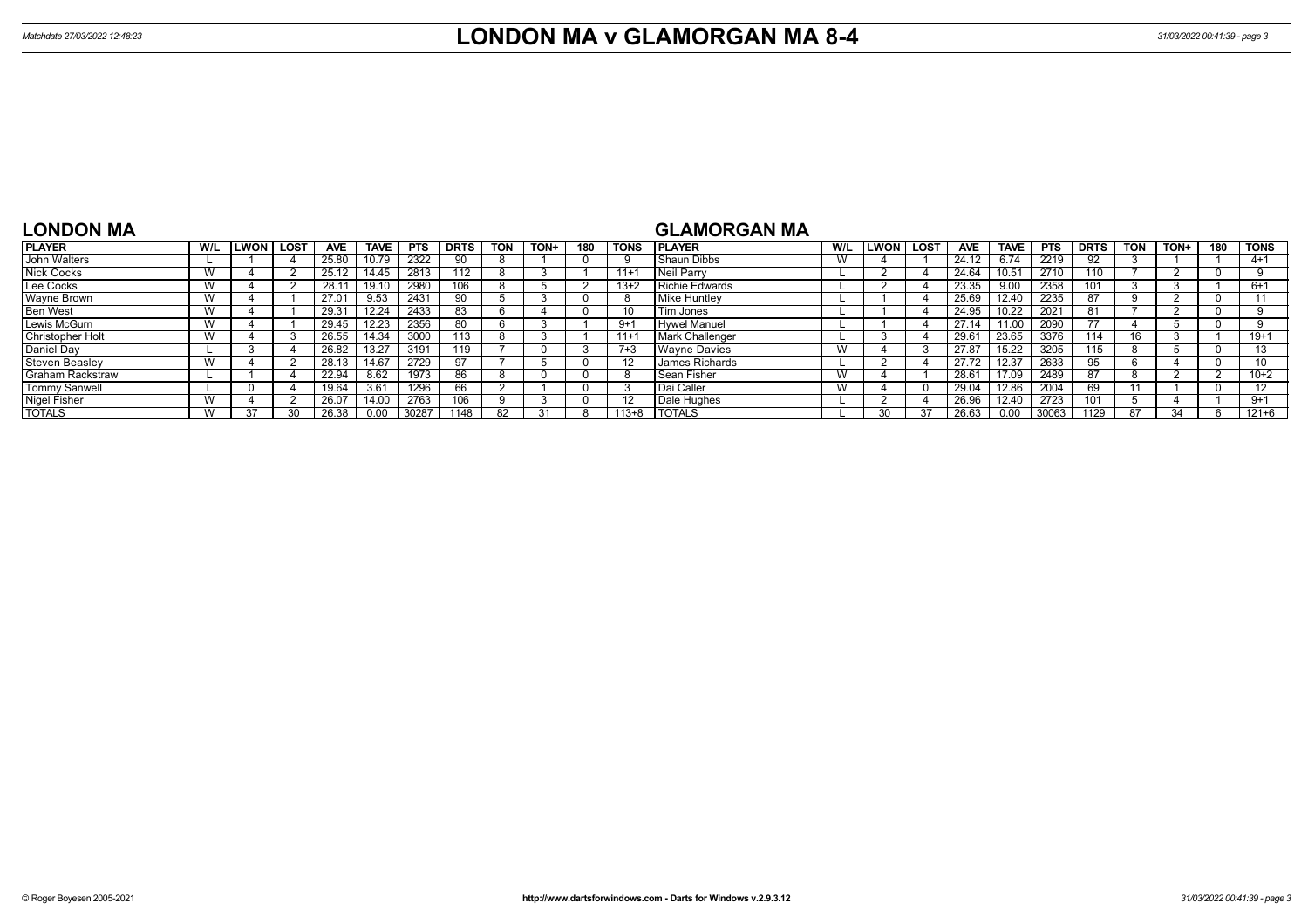TOTALS W 37 30 26.38 0.00 30287 1148 82 31 8 113+8

| LONDON MA            |     |              |      |                |             |            |             |            |      |     |                 | <b>GLAMORGAN MA</b>    |     |        |      |            |             |            |             |            |      |     |                   |
|----------------------|-----|--------------|------|----------------|-------------|------------|-------------|------------|------|-----|-----------------|------------------------|-----|--------|------|------------|-------------|------------|-------------|------------|------|-----|-------------------|
| <b>PLAYER</b>        | W/L | <b>ILWON</b> | LOST | <b>AVE</b>     | <b>TAVE</b> | <b>PTS</b> | <b>DRTS</b> | <b>TON</b> | TON+ | 180 | TONS            | <b>IPLAYER</b>         | W/L | LWON I | LOST | <b>AVE</b> | <b>TAVE</b> | <b>PTS</b> | <b>DRTS</b> | <b>TON</b> | TON+ | 180 | <b>TONS</b>       |
| John Walters         |     |              |      | 25.80          | 10.79       | 2322       | 90          |            |      |     |                 | Shaun Dibbs            |     |        |      | 24.12      | 6.74        | 2219       | 92          |            |      |     | $4 + 1$           |
| Nick Cocks           |     |              |      |                | 14.45       | 2813       | 112         |            |      |     | $11+1$          | Neil Parry             |     |        |      | 24.64      | 10.51       | 2710       | 110         |            |      |     | 9                 |
| Lee Cocks            |     |              |      | 28.1           | 19.10       | 2980       | 106         |            |      |     | $13+2$          | Richie Edwards         |     |        |      | 23.35      | 9.00        | 2358       | 101         |            |      |     | $6+1$             |
| <b>Wayne Brown</b>   | W   |              |      | $27.0^{\circ}$ | 9.53        | 2431       | 90          |            |      |     |                 | Mike Huntley           |     |        |      | 25.69      | 12.40       | 2235       | 87          |            |      |     | 11                |
| <b>Ben West</b>      |     |              |      | 29.31          | 12.24       | 2433       | 83          |            |      |     | 10 <sup>1</sup> | Tim Jones              |     |        |      | 24.95      | 10.22       | 2021       | 81          |            |      |     |                   |
| Lewis McGurn         |     |              |      | 29.45          | 12.23       | 2356       | 80          |            |      |     | $9+1$           | Hywel Manuel           |     |        |      | 27.14      | 11.00       | 2090       |             |            |      |     | 9                 |
| Christopher Holt     |     |              |      | 26.55          | 14.34       | 3000       | 113         |            |      |     | $11+1$          | <b>Mark Challenger</b> |     |        |      | 29.61      | 23.65       | 3376       | 114         |            |      |     | $19+1$            |
| Daniel Day           |     |              |      | 26.82          | 13.27       | 3191       | 119         |            |      |     | $7 + 3$         | <b>Wayne Davies</b>    |     |        |      | 27.87      | 15.22       | 3205       | 115         |            |      |     | 13                |
| Steven Beasley       |     |              |      | 28.13          | 14.67       | 2729       | 97          |            |      |     | 12              | <b>James Richards</b>  |     |        |      | 27.72      | 12.37       | 2633       | 95          |            |      |     |                   |
| Graham Rackstraw     |     |              |      | 22.94          | 8.62        | 1973       | 86          |            |      |     |                 | Sean Fisher            |     |        |      | 28.61      | 17.09       | 2489       | 87          |            |      |     | $10+2$            |
| <b>Tommy Sanwell</b> |     |              |      | 19.64          | 3.61        | 1296       | 66          |            |      |     |                 | Dai Caller             |     |        |      | 29.04      | 12.86       | 2004       | 69          |            |      |     | $12 \overline{ }$ |
| <b>Nigel Fisher</b>  |     |              |      | 26.07          | 14.00       | 2763       | 106         |            |      |     | 12              | Dale Hughes            |     |        |      | 26.96      | 12.40       | 2723       | 101         |            |      |     | $9 + 1$           |

TOTALS L 30 37 26.63 0.00 30063 1129 87 34 6 121+6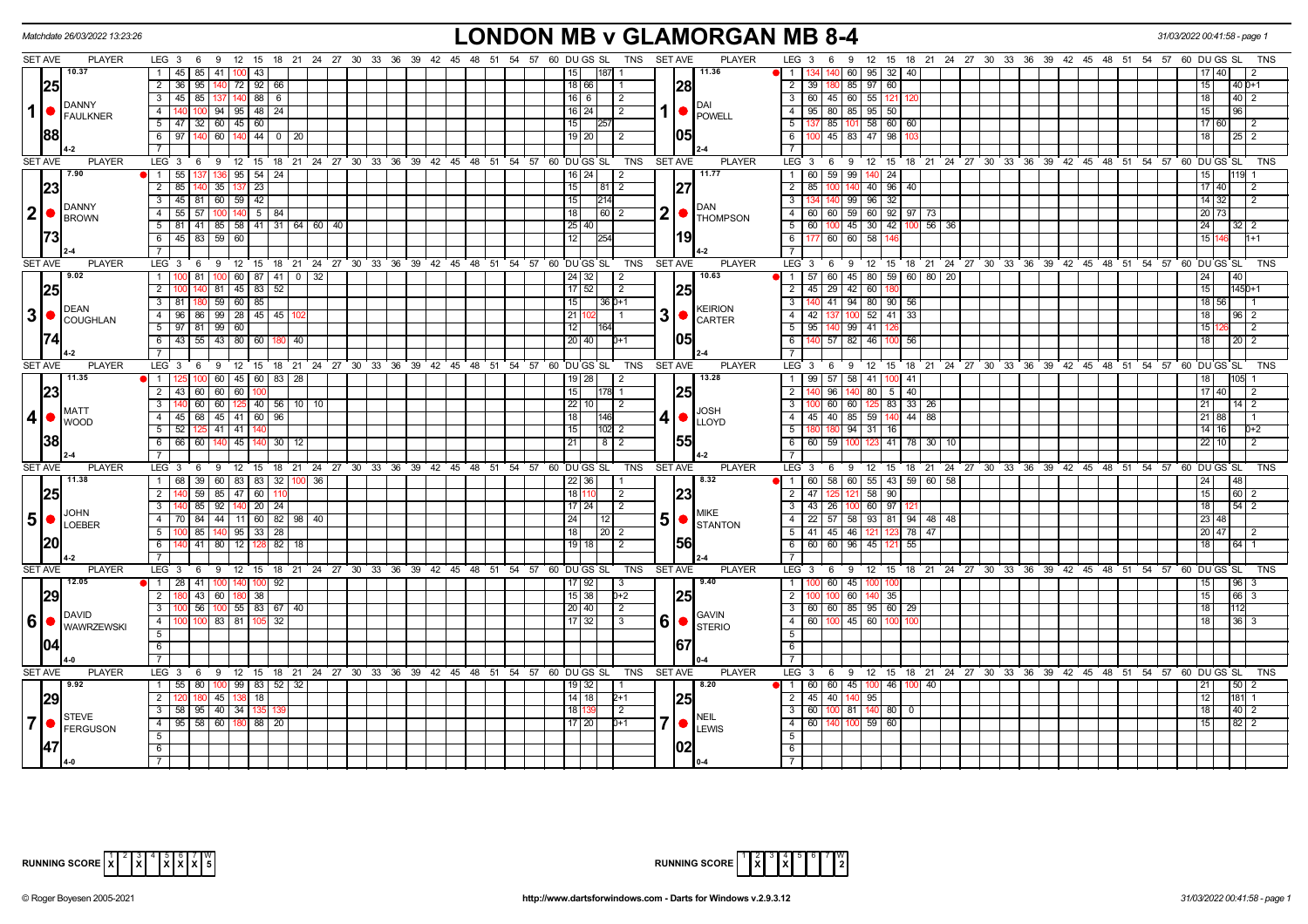|                | Matchdate 26/03/2022 13:23:26                                                                                                                                                                                                                                                                             |                                                                                          | <b>LONDON MB v GLAMORGAN MB 8-4</b>                                                                                             |                                                                                  | 31/03/2022 00:41:58 - page 1        |
|----------------|-----------------------------------------------------------------------------------------------------------------------------------------------------------------------------------------------------------------------------------------------------------------------------------------------------------|------------------------------------------------------------------------------------------|---------------------------------------------------------------------------------------------------------------------------------|----------------------------------------------------------------------------------|-------------------------------------|
| <b>SET AVE</b> | <b>PLAYER</b>                                                                                                                                                                                                                                                                                             | LEG 3 6 9 12 15 18 21 24 27 30 33 36 39 42 45 48 51 54 57 60 DUGS SL TNS SETAVE          | <b>PLAYER</b>                                                                                                                   | LEG 3 6 9 12 15 18 21 24 27 30 33 36 39 42 45 48 51 54 57 60 DUGS SL             | TNS                                 |
|                | 10.37                                                                                                                                                                                                                                                                                                     | 45   85   41   100   43                                                                  | 11.36<br>187 1<br>15 <sub>1</sub>                                                                                               | 140 60 95 32 40                                                                  | 17140                               |
|                | 25                                                                                                                                                                                                                                                                                                        | $\overline{2}$<br>36 95 140 72 92 66                                                     | 28<br>18 66                                                                                                                     | 2 39 180 85 97 60                                                                | 15<br>$40D+1$                       |
|                | <b>IDANNY</b>                                                                                                                                                                                                                                                                                             | 3   45   85   137   140   88   6                                                         | $16$ 6<br>$\overline{2}$<br>DAI                                                                                                 | 3   60   45   60   55   121   12                                                 | 18                                  |
| $\mathbf 1$    | $\bigcap_{\mathsf{FAULKNER}}$                                                                                                                                                                                                                                                                             | 4 140 100 94 95 48 24                                                                    | $1  \bullet  $ POWELL<br>  16   24  <br>$\vert$ 2                                                                               | 4   95   80   85   95   50                                                       | 151<br>$\overline{96}$              |
|                |                                                                                                                                                                                                                                                                                                           | $5 \mid 47 \mid 32 \mid 60 \mid 45 \mid 60 \mid$                                         | 15                                                                                                                              | $5 \mid 137 \mid 85 \mid 101 \mid 58 \mid 60 \mid 60$                            | 17 60<br>$\overline{2}$             |
|                | 88                                                                                                                                                                                                                                                                                                        | $97$ 140 60 140 44 0 20<br>6                                                             | 105<br>19   20  <br>l 2                                                                                                         | $6$ T<br>100 45 83 47 98                                                         | $\overline{18}$<br>$25 \mid 2$      |
|                |                                                                                                                                                                                                                                                                                                           |                                                                                          |                                                                                                                                 | $\overline{7}$                                                                   |                                     |
| <b>SET AVE</b> | PLAYER                                                                                                                                                                                                                                                                                                    | LEG 3 6 9 12 15 18 21 24 27 30 33 36 39 42 45 48 51 54 57 60 DUGS SL                     | <b>PLAYER</b><br><b>TNS</b><br>SET AVE                                                                                          | LEG 3 6 9 12 15 18 21 24 27 30 33 36 39 42 45 48 51 54 57 60 DUGS SL             | <b>TNS</b>                          |
|                | 7.90                                                                                                                                                                                                                                                                                                      | 1   55   137   136   95   54   24                                                        | 11.77<br>$16 \mid 24 \mid$ 2                                                                                                    | 1 60 59 99 140 24                                                                | 15<br>$1119$ 1                      |
|                | 23                                                                                                                                                                                                                                                                                                        | $\overline{2}$<br>85 140 35 137 23                                                       | $\overline{15}$<br> 27<br> 81 2                                                                                                 | 2 85 100 140 40 96 40                                                            | $17 \mid 40 \mid$<br>$\overline{2}$ |
|                |                                                                                                                                                                                                                                                                                                           | 45 81 60 59 42<br>3 <sup>1</sup>                                                         | 15 <sup>1</sup><br>214                                                                                                          | 3   134   140   99   96   32                                                     | $14$ 32<br>2                        |
|                | DANNY<br>$ 2  \bullet  _{\text{BROWN}}^{\text{DANNY}}$                                                                                                                                                                                                                                                    | 55 57 100 140 5 84<br>$\overline{4}$                                                     | <b>DAN</b><br>2 • <br> 60 2<br>18                                                                                               | 4 60 60 59 60 92 97 73                                                           | 20 73                               |
|                |                                                                                                                                                                                                                                                                                                           | 81   41   85   58   41   31   64   60   40<br>5                                          | <b>THOMPSON</b><br>25 40                                                                                                        | 5 60 100 45 30 42 100 56<br>36                                                   | 24<br>2                             |
|                |                                                                                                                                                                                                                                                                                                           | 45 83 59 60<br>6                                                                         | 19 <br>12<br>254                                                                                                                | $6 \mid 177 \mid 60 \mid 60 \mid 58 \mid$<br>146                                 | 151<br>$1+1$                        |
|                |                                                                                                                                                                                                                                                                                                           | $\overline{7}$                                                                           |                                                                                                                                 | 71                                                                               |                                     |
| <b>SET AVE</b> | <b>PLAYER</b>                                                                                                                                                                                                                                                                                             | LEG <sub>3</sub><br>$12 \quad 15$<br>6<br>9                                              | 18 21 24 27 30 33 36 39 42 45 48 51 54 57 60 DUGS SL<br><b>PLAYER</b><br>TNS<br><b>SET AVE</b>                                  | LEG 3<br>12 15 18 21 24 27 30 33 36 39 42 45 48 51 54 57 60 DUGS SL<br>6<br>9    | <b>TNS</b>                          |
|                | $\sqrt{9.02}$                                                                                                                                                                                                                                                                                             | 81   100   60   87   41   0   32  <br>$1 \quad 100$                                      | 10.63<br>24 32 <br>$\frac{12}{2}$                                                                                               | 1   57   60   45   80   59   60   80   20                                        | 24<br>$\overline{140}$              |
|                | 25                                                                                                                                                                                                                                                                                                        | $\overline{2}$<br>140 81 45 83 52                                                        | 25<br>$17$ 52<br>$\overline{2}$                                                                                                 | 2 45 29 42 60 18                                                                 | $\overline{15}$<br>$145D+1$         |
|                |                                                                                                                                                                                                                                                                                                           | $\overline{\mathbf{3}}$<br>81   180   59   60   85                                       | 15<br>36 0+1                                                                                                                    | 3   140   41   94   80   90   56                                                 | 18 56                               |
|                | DEAN<br>$\mathbf{3}$ $\bullet$ $\mathbf{L}_{\text{COUGHLAN}}$                                                                                                                                                                                                                                             | 96 86 99 28 45 45 10<br>$\overline{4}$                                                   | $3$ $\bullet$ $\frac{\text{NELINUM}}{\text{CARTER}}$<br>2111                                                                    | 4   42   137   100   52   41   33                                                | 18<br>$96 \mid 2$                   |
|                |                                                                                                                                                                                                                                                                                                           | $5 \mid 97 \mid 81 \mid 99 \mid 60$                                                      | 12<br>164                                                                                                                       | $5 \mid 95 \mid 140 \mid 99 \mid 41$                                             | 15<br>2                             |
|                |                                                                                                                                                                                                                                                                                                           | 43 55 43 80 60 180<br>6<br>$\vert$ 40                                                    | 1051<br>$20$   40  <br>$D+1$                                                                                                    | 6   140   57   82   46   100<br>56                                               | 18<br>$\sqrt{20}$ 2                 |
|                |                                                                                                                                                                                                                                                                                                           | $\overline{7}$                                                                           |                                                                                                                                 | 7 <sup>1</sup>                                                                   |                                     |
| <b>SET AVE</b> | <b>PLAYER</b>                                                                                                                                                                                                                                                                                             | LEG 3 6 9 12 15 18 21 24 27 30 33 36 39 42 45 48 51 54 57 60 DUGS SL                     | <b>SET AVE</b><br><b>PLAYER</b><br><b>TNS</b>                                                                                   | $LEG-3$<br>6 9 12 15 18 21 24 27 30 33 36 39 42 45 48 51 54 57 60 DUGSSL         | TNS                                 |
|                | 11.35                                                                                                                                                                                                                                                                                                     | 100 60 45 60 83 28<br>$\sqrt{1}$                                                         | 13.28<br>19   28                                                                                                                | 1   99   57   58   41  <br>41                                                    |                                     |
|                | 23                                                                                                                                                                                                                                                                                                        | 43 60 60 60 100<br>$\overline{2}$                                                        | 25 <br>15<br> 178  1                                                                                                            | 2 1<br>96 140 80 5 40                                                            | 17 40<br>$\mathcal{P}$              |
|                |                                                                                                                                                                                                                                                                                                           | 140 60 60 125 40 56 10 10<br>$\overline{\cdot \cdot \cdot}$                              | $22$ 10<br>l 2                                                                                                                  | $3   100   60   60   125   83   33   26$                                         | 21<br>$14 \mid 2$                   |
| 4 •            | <b>IMATT</b>                                                                                                                                                                                                                                                                                              | 45 68 45 41 60 96<br>$\overline{4}$                                                      | <b>JOSH</b><br>$4 • $ $\frac{1}{20}$<br>18<br>146                                                                               | 4 4 45 40 85 59 140 44 88                                                        | 21 88                               |
|                | <b>WOOD</b>                                                                                                                                                                                                                                                                                               | $\boxed{52}$ 125 41 41 140<br>$-5$                                                       | 15<br>$102$ 2                                                                                                                   | 5 180 180 94 31 16                                                               | 14 16<br>$0+2$                      |
|                | 38                                                                                                                                                                                                                                                                                                        | 6 6 6 6 140 45 140 30 12                                                                 | 55<br>8 <sup>2</sup><br>21                                                                                                      | 6 6 6 59 100 123 41 78 30<br>10 <sup>1</sup>                                     | $22$ 10<br>$\overline{2}$           |
|                |                                                                                                                                                                                                                                                                                                           |                                                                                          |                                                                                                                                 |                                                                                  |                                     |
| <b>SET AVE</b> | <b>PLAYER</b>                                                                                                                                                                                                                                                                                             | LEG 3 6 9<br>12 15 18 21 24 27 30 33 36 39 42 45 48 51 54 57 60 DUGS SL                  | <b>TNS</b><br><b>SET AVE</b><br><b>PLAYER</b>                                                                                   | LEG 3 6 9 12 15 18 21 24 27 30 33 36 39 42 45 48 51 54 57 60 DUGS SL             | TNS                                 |
|                | 11.38                                                                                                                                                                                                                                                                                                     | 1 68 39 60 83 83 32 100 36                                                               | 8.32<br>$22$ 36                                                                                                                 | $\bullet$   1   60   58   60   55   43   59   60   58                            | 24<br> 48                           |
|                | 25                                                                                                                                                                                                                                                                                                        | $\overline{2}$<br>59 85 47 60 11                                                         | 18 110<br> 23 <br>$\sqrt{2}$                                                                                                    | 2 47 125 121 58 90                                                               | 15<br>60 2                          |
|                |                                                                                                                                                                                                                                                                                                           | دى<br>140 85 92 140 20 24                                                                | $17$   24  <br>$\overline{2}$                                                                                                   | 3   43   26   100   60   97   12                                                 | 18                                  |
|                | JOHN<br>$5$ $\bullet$ $\frac{100 \text{ m}}{100 \text{EBER}}$                                                                                                                                                                                                                                             | 4   70   84   44   11   60   82   98   40                                                | <b>MIKE</b><br>$5 \nvert \nvert$ stanton<br>24<br>  12                                                                          | 4 22 57 58 93 81 94 48 48                                                        | 23 48                               |
|                |                                                                                                                                                                                                                                                                                                           | 5<br>100 85 140 95 33 28                                                                 | 18<br>12012                                                                                                                     | 5   41   45   46   121   123<br>78 I 47                                          | 20 47<br>2                          |
|                | 120                                                                                                                                                                                                                                                                                                       | 140 41 80<br>6<br>$12$   128<br>$82$ 18                                                  | 156<br>19 18 1                                                                                                                  | 6 6 60 60 96 45 121<br>55                                                        | 18<br>$64$ 1                        |
|                |                                                                                                                                                                                                                                                                                                           | $\overline{7}$                                                                           |                                                                                                                                 | $\overline{7}$                                                                   |                                     |
| <b>SET AVE</b> | <b>PLAYER</b>                                                                                                                                                                                                                                                                                             | LEG 3  6  9  12  15  18  21  24  27  30  33  36  39  42  45  48  51  54  57  60  DUGS SL | <b>TNS</b><br><b>SET AVE</b><br><b>PLAYER</b>                                                                                   | $LEG^{\cdot}$ 3<br>6 9 12 15 18 21 24 27 30 33 36 39 42 45 48 51 54 57 60 DUGSSL | <b>TNS</b>                          |
|                | 12.05                                                                                                                                                                                                                                                                                                     | $\bullet$   1   28   41   100   140   100  <br>92                                        | 9.40<br>$17$ 92<br>$\vert$ 3                                                                                                    | 1   100   60   45   100 100                                                      | 15<br> 96 <br>$\cdot$ 3             |
|                | 29                                                                                                                                                                                                                                                                                                        | 43 60 180 38<br>2 180                                                                    | 25<br>$D+2$<br>15   38                                                                                                          | 2 100<br>$100$ 60 $140$ 35                                                       | 15<br>66 3                          |
|                |                                                                                                                                                                                                                                                                                                           | 3 100 56 100 55 83 67 40                                                                 | 20   40  <br>$\sqrt{2}$                                                                                                         | 3   60   60   85   95   60   29                                                  | 18<br>112                           |
|                | $6 \odot$ $\odot$ $\odot$ $\odot$ $\odot$ $\odot$ $\odot$ $\odot$ $\odot$ $\odot$ $\odot$ $\odot$ $\odot$ $\odot$ $\odot$ $\odot$ $\odot$ $\odot$ $\odot$ $\odot$ $\odot$ $\odot$ $\odot$ $\odot$ $\odot$ $\odot$ $\odot$ $\odot$ $\odot$ $\odot$ $\odot$ $\odot$ $\odot$ $\odot$ $\odot$ $\odot$ $\odot$ | 4<br>100 100 83<br>81   1<br>32                                                          | <b>GAVIN</b><br>$60$ STERIO<br>17 32<br>-3                                                                                      | 4 60 100 45 60                                                                   | 18<br>36 <sup>1</sup>               |
|                |                                                                                                                                                                                                                                                                                                           | $5\overline{)}$                                                                          |                                                                                                                                 | 5 <sup>5</sup>                                                                   |                                     |
|                | 1041                                                                                                                                                                                                                                                                                                      | 6                                                                                        | 167                                                                                                                             | 6                                                                                |                                     |
|                |                                                                                                                                                                                                                                                                                                           | $\overline{7}$                                                                           |                                                                                                                                 | $\overline{7}$                                                                   |                                     |
| <b>SET AVE</b> | <b>PLAYER</b>                                                                                                                                                                                                                                                                                             | LEG 3 6 9 12 15 18 21 24 27 30 33 36 39 42 45 48 51 54 57 60 DUGS SL                     | <b>PLAYER</b><br>TNS<br><b>SET AVE</b>                                                                                          | LEG 3 6 9 12 15 18 21 24 27 30 33 36 39 42 45 48 51 54 57 60 DUGS SL TNS         |                                     |
|                | $\sqrt{9.92}$                                                                                                                                                                                                                                                                                             | 1 55 80 100 99 83 52 32                                                                  | 8.20                                                                                                                            | $\bullet$ 1 60 60 45 100 46<br>100 40                                            | 50 <sub>1</sub><br>21               |
|                | 29                                                                                                                                                                                                                                                                                                        | $\overline{2}$<br>120 180 45 138 18                                                      | 25 <br>14   18  <br>$2+1$                                                                                                       | 2 45 40 140 95                                                                   | 12                                  |
|                |                                                                                                                                                                                                                                                                                                           | $\overline{\mathbf{3}}$<br>58 95 40 34 135                                               | 1811<br>l 2                                                                                                                     | 3 60 100 81 140 80<br>$\Omega$                                                   | 18<br>$40 \mid 2$                   |
| $\overline{7}$ | STEVE<br>FERGUSON                                                                                                                                                                                                                                                                                         | 4 95 58 60 180 88 20                                                                     | <b>NEIL</b><br>$7$ $\bullet$ $\overline{\phantom{a}}$ $\overline{\phantom{a}}$ $\overline{\phantom{a}}$<br>$17$   20  <br>$D+1$ | 4 60 140 100 59 60                                                               | 15<br>$82$ 2                        |
|                |                                                                                                                                                                                                                                                                                                           | $5\overline{)}$                                                                          |                                                                                                                                 | 5                                                                                |                                     |
|                |                                                                                                                                                                                                                                                                                                           | 6                                                                                        | 102                                                                                                                             | 6                                                                                |                                     |
|                |                                                                                                                                                                                                                                                                                                           | $\overline{7}$                                                                           |                                                                                                                                 | 7 <sup>1</sup>                                                                   |                                     |

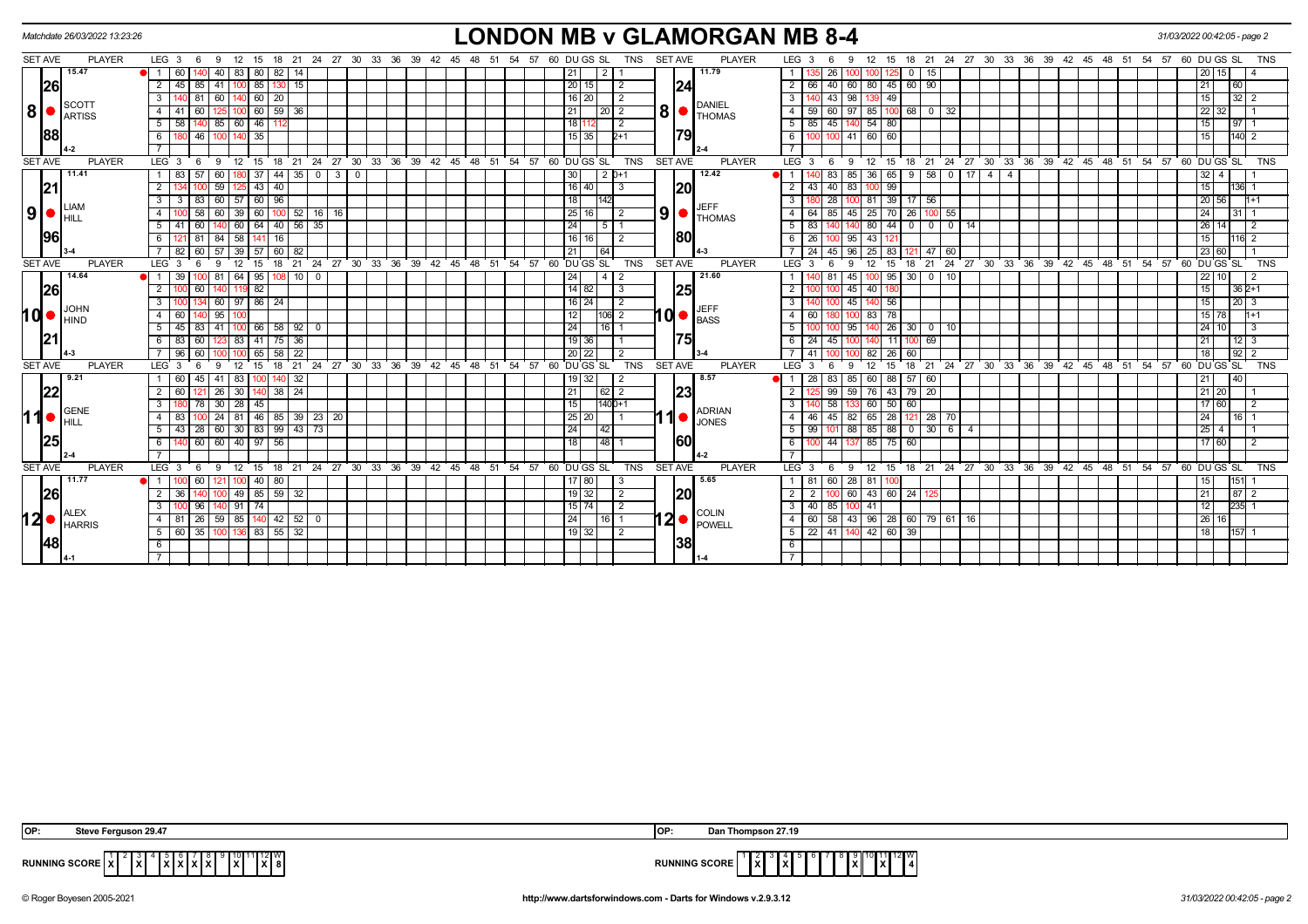| Matchdate 26/03/2022 13:23:26                                     |               |                                      |                             |               |                |                |                                     |       |                  |    |            |       |    |                                                |                |                | <b>LONDON MB v GLAMORGAN MB 8-4</b> |                          |                 |                              |                                  |                                   |                                    |  |                                              |    |    |       |                 | 31/03/2022 00:42:05 - page 2 |                |
|-------------------------------------------------------------------|---------------|--------------------------------------|-----------------------------|---------------|----------------|----------------|-------------------------------------|-------|------------------|----|------------|-------|----|------------------------------------------------|----------------|----------------|-------------------------------------|--------------------------|-----------------|------------------------------|----------------------------------|-----------------------------------|------------------------------------|--|----------------------------------------------|----|----|-------|-----------------|------------------------------|----------------|
| SET AVE                                                           | <b>PLAYER</b> | LEG <sub>3</sub><br>- 6              | 12<br>9                     | 15            | 18 21          |                |                                     |       |                  |    |            |       |    | 24 27 30 33 36 39 42 45 48 51 54 57 60 DUGS SL | TNS            | <b>SET AVE</b> | <b>PLAYER</b>                       | LEG <sub>3</sub>         |                 |                              | $12 \overline{ }$<br>15          |                                   |                                    |  | 18 21 24 27 30 33 36 39 42 45 48 51 54 57    |    |    |       |                 | 60 DU GS SL                  | <b>TNS</b>     |
| 15.47                                                             |               | 1 <sup>1</sup><br>60                 | 40<br>83                    | 80            | $82$   14      |                |                                     |       |                  |    |            |       |    | 21 I                                           |                |                | 11.79                               |                          |                 | 26                           |                                  | 15<br>0 <sup>1</sup>              |                                    |  |                                              |    |    |       |                 | 15                           |                |
| 26                                                                |               | $\overline{2}$<br>85                 | 41                          | 85            | 130<br>15      |                |                                     |       |                  |    |            |       |    | 20 15                                          | -2             | 24             |                                     |                          | 66              | 40<br>60                     | 80<br>45                         | 60   90                           |                                    |  |                                              |    |    |       | 21              | 60                           |                |
|                                                                   |               | $\mathbf{3}$<br>81                   | 60                          | $140$ 60      | 20             |                |                                     |       |                  |    |            |       |    | $16$   20                                      | 2              |                |                                     |                          |                 | 43<br>98                     | 139 49                           |                                   |                                    |  |                                              |    |    |       | 15              | $32 \mid 2$                  |                |
| <b>SCOTT</b><br> 8 <br>$\bullet$<br>ARTISS                        |               | $\overline{4}$                       |                             | 60            | 59<br>-36      |                |                                     |       |                  |    |            |       |    | 21<br>  20   2                                 |                | 8 •            | <b>DANIEL</b><br><b>THOMAS</b>      |                          | 59              | 60<br>97                     | 85                               | 68 0                              | 32                                 |  |                                              |    |    |       | $\overline{22}$ | 32                           |                |
|                                                                   |               | 5<br>58                              | 85                          | 60   46       | 112            |                |                                     |       |                  |    |            |       |    | 18 <sup>1</sup>                                | $\overline{2}$ |                |                                     | $5 \mid 85$              |                 | $140$ 54 80<br>45            |                                  |                                   |                                    |  |                                              |    |    |       | 15              | $97$   1                     |                |
| 88                                                                |               | - 6<br>46                            |                             | 35            |                |                |                                     |       |                  |    |            |       |    | 15 35 1                                        | 2+1            | 179            |                                     | - 6                      |                 | 41                           | 60<br>60                         |                                   |                                    |  |                                              |    |    |       | 15              | 140 2                        |                |
|                                                                   |               |                                      |                             |               |                |                |                                     |       |                  |    |            |       |    |                                                |                |                |                                     |                          |                 |                              |                                  |                                   |                                    |  |                                              |    |    |       |                 |                              |                |
| <b>SET AVE</b>                                                    | <b>PLAYER</b> | LEG <sub>3</sub><br>- 6              | 9<br>12                     | - 15          | 18 21          | 24 27 30       |                                     |       | 33 36 39 42 45   |    | $48$ 51 54 |       |    | 57 60 DU GS SL                                 | <b>TNS</b>     | <b>SET AVE</b> | <b>PLAYER</b>                       | LEG <sup>3</sup>         |                 | -9<br>- 6                    | 12<br>15                         |                                   |                                    |  | 18 21 24 27 30 33 36 39 42 45                |    |    |       |                 | 48 51 54 57 60 DUGS SL       | <b>TNS</b>     |
| 11.41                                                             |               |                                      | 60                          | 5137          |                | $44$ 35 0 3 0  |                                     |       |                  |    |            |       |    | 30                                             | $2D+1$         |                | 12.42                               |                          |                 | 83<br>85                     | 36<br>65                         |                                   | $9$ 58 0 17 4 4                    |  |                                              |    |    |       |                 | $32 \mid 4$                  |                |
| 21                                                                |               |                                      | 59                          | 43            | 40             |                |                                     |       |                  |    |            |       |    | $16$ 40                                        | -3             | 20             |                                     | $\overline{2}$           | 43              | 40<br>83                     | 99<br>100                        |                                   |                                    |  |                                              |    |    |       |                 | $136$ 1                      |                |
| <b>LIAM</b>                                                       |               | $\overline{\mathbf{3}}$<br>-3<br>83  | 60<br>57                    | 60            | 96             |                |                                     |       |                  |    |            |       |    | 18                                             |                |                | <b>JEFF</b>                         | $\overline{3}$           |                 | 28                           | 39<br>81                         | $17 \mid 56$                      |                                    |  |                                              |    |    |       | 20              | 56                           | $1 + 1$        |
| $\vert 9 \vert$ $\bullet$ $\vert_{\textrm{HILL}}^{\textrm{LIAN}}$ |               | $\overline{4}$<br>58                 | 60                          | 39   60       |                | $100$ 52 16 16 |                                     |       |                  |    |            |       |    | 25 16                                          | l 2            | 9              | <b>THOMAS</b>                       | 4                        | 64              | 85<br>$45 \mid 25$           | 70                               | 26 100 55                         |                                    |  |                                              |    |    |       | 24              | 31                           |                |
|                                                                   |               | 5<br>60                              | 60                          | 64            | $40$   56   35 |                |                                     |       |                  |    |            |       |    | 24<br>-5                                       |                |                |                                     |                          | 83              |                              | 44<br>80                         | $\overline{0}$<br>$\overline{0}$  | $\overline{\phantom{0}}$<br>14     |  |                                              |    |    |       | 26              |                              |                |
| 96                                                                |               | II 81                                | 84                          | 58 141        | 16             |                |                                     |       |                  |    |            |       |    | 16   16                                        | $\overline{2}$ | 180            |                                     | - 6 I                    | 26              | $95 \mid 43 \mid 12 \rangle$ |                                  |                                   |                                    |  |                                              |    |    |       |                 | $16\overline{2}$             |                |
|                                                                   |               | 60                                   | 57<br>39                    | l 57          | 60             |                |                                     |       |                  |    |            |       |    | 21 <sub>1</sub><br>l 64                        |                |                |                                     |                          | $\overline{24}$ | 45<br>96                     | 83<br>25                         | 47                                | 60                                 |  |                                              |    |    |       |                 | 23 60                        |                |
| <b>SET AVE</b>                                                    | <b>PLAYER</b> | LEG <sup>3</sup>                     |                             | 15            | 21             |                | 24 27 30 33 36 39 42 45 48 51 54 57 |       |                  |    |            |       |    | 60 DU GS SL                                    | <b>TNS</b>     | <b>SET AVE</b> | <b>PLAYER</b>                       | LEG <sub>3</sub>         |                 |                              |                                  | 21                                | $\overline{24}$ $\overline{27}$ 30 |  | 33 36 39 42 45 48 51 54 57                   |    |    |       | 60 DU GS SL     |                              | <b>TNS</b>     |
| 14.64                                                             |               | 39                                   | 81                          | $64$ 95       | 10 I           | $^{\circ}$     |                                     |       |                  |    |            |       | 24 | 4   2                                          |                |                | 21.60                               |                          |                 | 81<br>45 I                   | 95<br>100 I                      | 30 <sub>1</sub><br>$\overline{0}$ | 10                                 |  |                                              |    |    |       |                 | 22 10                        | $\overline{2}$ |
| 26                                                                |               | 100 60                               | 140                         | 119 82        |                |                |                                     |       |                  |    |            |       |    | 14   82                                        | 3              | 25             |                                     |                          |                 | $45 \mid 40$                 |                                  |                                   |                                    |  |                                              |    |    |       | 15              | $362+1$                      |                |
| <b>JOHN</b>                                                       |               | $\overline{3}$                       |                             | 60 97 86 24   |                |                |                                     |       |                  |    |            |       |    | $16$   24                                      | $\overline{2}$ |                |                                     |                          |                 | 45 <sub>1</sub>              | 56<br>140                        |                                   |                                    |  |                                              |    |    |       | 15              | $20 \mid 3$                  |                |
| $10 \bullet$ $\bullet$ $\bullet$ $\bullet$                        |               | $\overline{4}$<br>60                 | 95                          |               |                |                |                                     |       |                  |    |            |       |    | 12<br>$106$ 2                                  |                |                | $10 \cdot \frac{JEFF}{BASS}$        | 4                        | 60              |                              | 83<br>78                         |                                   |                                    |  |                                              |    |    |       |                 | $15 \overline{\smash{78}}$   | $1 + 1$        |
|                                                                   |               | 5<br>$45 \mid 83$                    | 41                          | $100$ 66      | $58$   92   0  |                |                                     |       |                  |    |            |       |    | 24<br>$16$   1                                 |                |                |                                     |                          |                 | 95                           | 26                               | $30$ 0                            | 10                                 |  |                                              |    |    |       |                 | 24 10                        | l 3            |
| 21                                                                |               | 6<br>83<br>60                        |                             | 83 41         | $75$ 36        |                |                                     |       |                  |    |            |       |    | 19 36                                          |                | 75             |                                     | ჩ                        | 24              | 45                           | 11<br>140                        | 69                                |                                    |  |                                              |    |    |       | 21              | $12 \mid 3$                  |                |
|                                                                   |               | 96<br>60                             |                             | IOOI 65 I     | 58<br>22       |                |                                     |       |                  |    |            |       |    | 20 22                                          | $\overline{2}$ |                |                                     |                          | 41              |                              | 82<br>26                         | 60                                |                                    |  |                                              |    |    |       |                 | $92$ 2                       |                |
| <b>SET AVE</b>                                                    | <b>PLAYER</b> | LEG <sub>3</sub>                     | 12                          | 15            | 18<br>21       | 24 27 30       |                                     | 33 36 | $39 \t 42 \t 45$ | 48 | 51         | 54 57 |    | 60 DU GS SL                                    | <b>TNS</b>     | <b>SET AVE</b> | <b>PLAYER</b>                       | $LEG_3$                  |                 |                              |                                  | 18<br>21                          | 24 27 30 33 36                     |  | 39 42 45                                     | 48 | 51 | 54 57 |                 | 60 DU GS SL                  | <b>TNS</b>     |
| 9.21                                                              |               | 60<br>45                             | 41<br>83                    |               | -32<br>140 I   |                |                                     |       |                  |    |            |       |    | 19132                                          | -2             |                | 8.57                                |                          | 28              | 83<br>85                     | 60<br>88 <sub>1</sub>            | 57   60                           |                                    |  |                                              |    |    |       | 21              | 40                           |                |
| 22                                                                |               | 60                                   | 26<br>30 1                  |               | $38 \mid 24$   |                |                                     |       |                  |    |            |       | 21 | 62   2                                         |                | 23             |                                     | $\overline{2}$           |                 | 99<br>59                     | $-43$<br>76                      | $79$   20                         |                                    |  |                                              |    |    |       |                 | 21 20                        |                |
| GENE                                                              |               | $\overline{\cdot \cdot \cdot}$<br>78 | $30 \mid 28 \mid 45$        |               |                |                |                                     |       |                  |    |            |       |    | 15                                             | 1400+1         |                | <b>ADRIAN</b>                       | $\overline{3}$           |                 | 58                           | 60 50 60                         |                                   |                                    |  |                                              |    |    |       |                 | 17 60                        | l 2            |
| 11 $\bullet$<br>Iншт                                              |               | $\overline{4}$<br>83                 | 24                          | 81   46       |                | 85 39 23 20    |                                     |       |                  |    |            |       |    | 25 20                                          |                | ∙1∎ r          | <b>JONES</b>                        | $\overline{4}$           | 46              | 45<br>82 I                   | 65<br>$\overline{28}$            | $121$ 28                          | - 70                               |  |                                              |    |    |       | $\overline{24}$ | 16 <sup>1</sup>              |                |
|                                                                   |               | 5                                    | 43 28 60 30 83 99 43 73     |               |                |                |                                     |       |                  |    |            |       |    | 24<br>142 I                                    |                |                |                                     | - 5 I                    | 99              | 101                          | 88 85 88                         | 01306                             | $\vert$ 4                          |  |                                              |    |    |       | 25              | -4                           |                |
| 25                                                                |               | 60<br>6                              | 60                          | 40   97       | 56             |                |                                     |       |                  |    |            |       |    | 48 <br>18                                      |                | 160            |                                     | 6                        | ഹ               | 44                           | $\overline{75}$<br>85            | 60                                |                                    |  |                                              |    |    |       |                 | 17 60                        | $\overline{2}$ |
|                                                                   |               | $\overline{7}$                       |                             |               |                |                |                                     |       |                  |    |            |       |    |                                                |                |                |                                     |                          |                 |                              |                                  |                                   |                                    |  |                                              |    |    |       |                 |                              |                |
| <b>SET AVE</b>                                                    | <b>PLAYER</b> | LEG 3<br>- 6                         | - 9                         | $12 \quad 15$ |                |                | 18 21 24 27 30 33 36 39 42 45       |       |                  |    |            |       |    | 48 51 54 57 60 DU GS SL                        | TNS            | SET AVE        | <b>PLAYER</b>                       | LEG <sub>3</sub>         |                 | - 9<br>- 6                   | 12                               |                                   |                                    |  | 15 18 21 24 27 30 33 36 39 42 45 48 51 54 57 |    |    |       |                 | 60 DU GS SL                  | TNS            |
| 11.77                                                             |               | $\blacksquare$<br>60                 |                             | $100$ 40      | 80             |                |                                     |       |                  |    |            |       |    | $17$   80                                      | -3             |                | 5.65                                |                          | 81              | 60<br>28 I                   | 81                               |                                   |                                    |  |                                              |    |    |       |                 | 151                          |                |
| 26                                                                |               | 36                                   | 100 I                       | 49 85 59 32   |                |                |                                     |       |                  |    |            |       |    | 19 32                                          | $\vert$ 2      | 20             |                                     | 2 <sup>1</sup>           | 2               | 100                          | 60 43 60 24 125                  |                                   |                                    |  |                                              |    |    |       | 21              | $87 2$                       |                |
| <b>ALEX</b>                                                       |               | $\overline{\mathbf{3}}$<br>96        |                             | $91$ 74       |                |                |                                     |       |                  |    |            |       |    | 15 74                                          | $\sqrt{2}$     |                |                                     | $\overline{\phantom{a}}$ | 40              | 85                           | 41                               |                                   |                                    |  |                                              |    |    |       | 12              | $235$ 1                      |                |
| $12$ $\bullet$ $\stackrel{\text{ALEX}}{\text{HARRIS}}$            |               | $\overline{4}$<br>81   26            | 59   85   140   42   52   0 |               |                |                |                                     |       |                  |    |            |       |    | 24<br>I 16 I 1                                 |                |                | $12$ $\bullet$ COLIN                | 4 I                      | 60 58           |                              | 43   96   28   60   79   61   16 |                                   |                                    |  |                                              |    |    |       |                 | 26 16                        |                |
|                                                                   |               | 35<br>5<br>60                        | 100 I                       | $136$ 83      | $55 \mid 32$   |                |                                     |       |                  |    |            |       |    | 19 32                                          | 2              |                |                                     | $5 \mid 22 \mid 41$      |                 |                              | 42 60                            | 39                                |                                    |  |                                              |    |    |       | 18              |                              |                |
| <b>48</b>                                                         |               | 6                                    |                             |               |                |                |                                     |       |                  |    |            |       |    |                                                |                | 38             |                                     | 6                        |                 |                              |                                  |                                   |                                    |  |                                              |    |    |       |                 |                              |                |
|                                                                   |               |                                      |                             |               |                |                |                                     |       |                  |    |            |       |    |                                                |                |                |                                     |                          |                 |                              |                                  |                                   |                                    |  |                                              |    |    |       |                 |                              |                |

| IOP. | Steve Ferguson 29.47                                                                                                                   | OP                   | hompson 27.19                                          |
|------|----------------------------------------------------------------------------------------------------------------------------------------|----------------------|--------------------------------------------------------|
|      | 9 10 11 12 W<br>7131313131<br><b>RUNNING SCORE X</b><br>IXI 8<br>$\mathbf{I} \times \mathbf{I}$<br>1x I<br>$\mathbf{L}$<br>----------- | <b>RUNNING SCORE</b> | 11 12 W<br>19101<br>IXI.<br>l x l<br>.<br>IxI<br>I A I |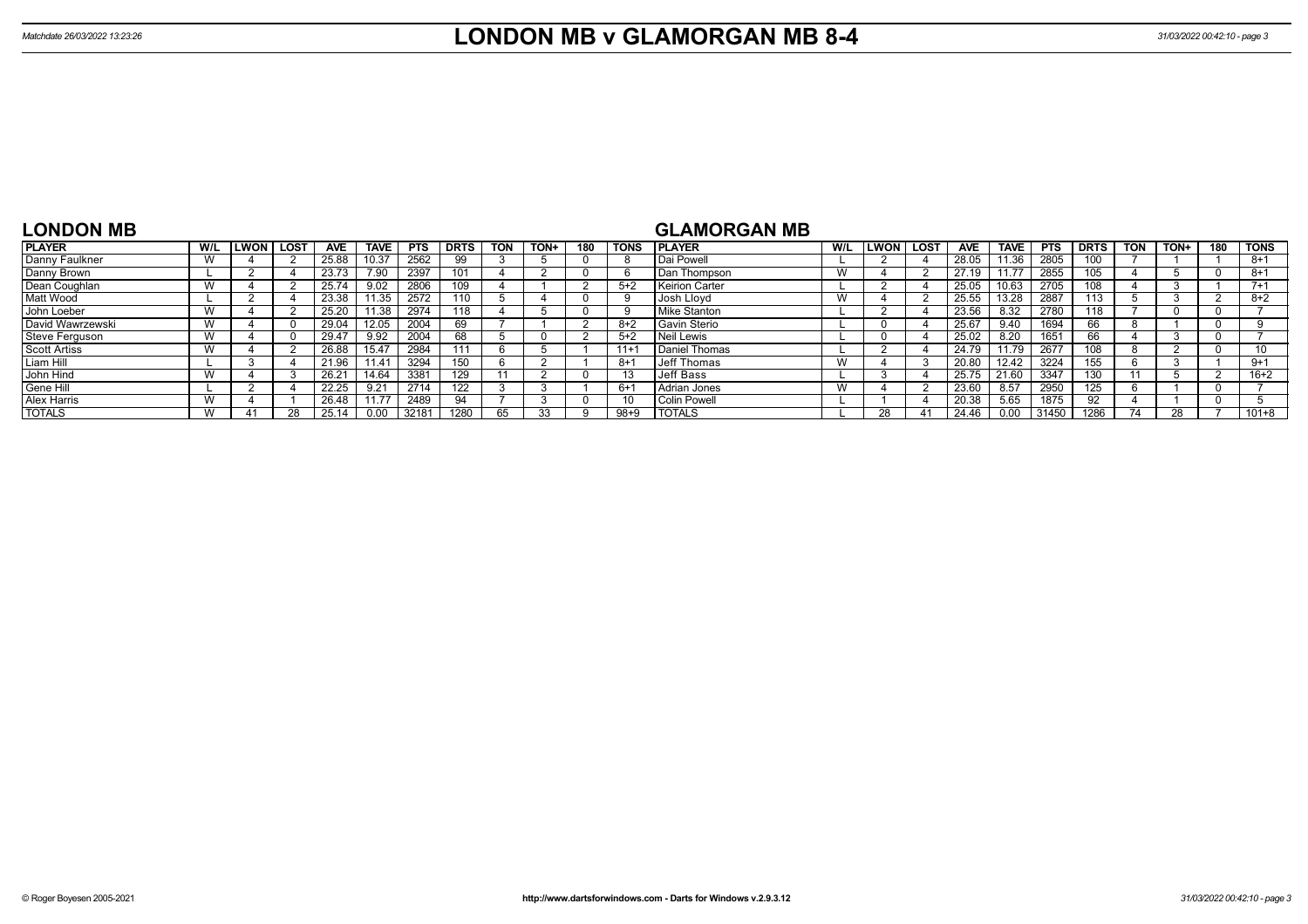| <b>LONDON MB</b> |  |  |
|------------------|--|--|
|------------------|--|--|

# **GLAMORGAN MB**

| <b>PLAYER</b>       | W/L | LWON | LOST | <b>AVE</b> | <b>TAVE</b> | <b>PTS</b> | <b>DRTS</b> | <b>TON</b> | TON+ | 180          | <b>TONS</b> | <b>I PLAYER</b>       | W/L | <b>ILWON</b> | <b>LOST</b> | <b>AVE</b> | TAVE. | <b>PTS</b> | <b>DRTS</b> | <b>TON</b> | TON+ | 180 | <b>TONS</b> |
|---------------------|-----|------|------|------------|-------------|------------|-------------|------------|------|--------------|-------------|-----------------------|-----|--------------|-------------|------------|-------|------------|-------------|------------|------|-----|-------------|
| Danny Faulkner      | W   |      |      | 25.88      | 10.37       | 2562       | 99          |            |      |              |             | Dai Powell            |     |              |             | 28.05      | 1.36  | 2805       | 100         |            |      |     | $8 + 1$     |
| Danny Brown         |     |      |      | 23.73      | 7.90        | 2397       | 101         |            |      | $\mathbf{U}$ |             | Dan Thompson          | W   |              |             | 27.19      | 11.77 | 2855       | 105         |            |      |     | $8+1$       |
| Dean Coughlan       | W   |      |      | 25.74      | 9.02        | 2806       | 109         |            |      |              | $5+2$       | <b>Keirion Carter</b> |     |              |             | 25.05      | 10.63 | 2705       | 108         |            |      |     | $7 + 1$     |
| <b>Matt Wood</b>    |     |      |      | 23.38      | 1.35        | 2572       | 110         |            |      |              |             | Josh Llovd            |     |              |             | 25.55      | 13.28 | 2887       | 113         |            |      |     | $8 + 2$     |
| John Loeber         | W   |      |      | 25.20      | 11.38       | 2974       | 118         |            |      |              |             | Mike Stanton          |     |              |             | 23.56      | 8.32  | 2780       | 118         |            |      |     |             |
| David Wawrzewski    | W   |      |      | 29.04      | 12.05       | 2004       | 69          |            |      |              | $8+2$       | Gavin Sterio          |     |              |             | 25.67      | 9.40  | 1694       | 66          |            |      |     |             |
| Steve Ferguson      | W   |      |      | 29.47      | 9.92        | 2004       | 68          |            |      |              | $5+2$       | Neil Lewis            |     |              |             | 25.02      | 8.20  | 1651       | 66          |            |      |     |             |
| <b>Scott Artiss</b> | W   |      |      | 26.88      | 15.47       | 2984       | 111         |            |      |              | $11 +$      | Daniel Thomas         |     |              |             | 24.79      | 11.79 | 2677       | 108         |            |      |     | 10          |
| Liam Hill           |     |      |      | 21.96      | 1.41        | 3294       | 150         |            |      |              | -8+         | eff Thomas            |     |              |             | 20.80      | 12.42 | 3224       | 155         |            |      |     | $9+1$       |
| John Hind           | W   |      |      | 26.21      | 14.64       | 3381       | 129         |            |      |              |             | Jeff Bass             |     |              |             | 25.75      | 21.60 | 3347       | 130         |            |      |     | $16 + 2$    |
| Gene Hill           |     |      |      | 22.25      | 9.21        | 2714       | 122         |            |      |              | $6+$        | l Adrian Jones        |     |              |             | 23.60      | 8.57  | 2950       | 125         |            |      |     |             |
| Alex Harris         | W   |      |      | 26.48      | 11.77       | 2489       | 94          |            |      |              |             | <b>Colin Powell</b>   |     |              |             | 20.38      | 5.65  | 1875       | 92          |            |      |     |             |
| <b>TOTALS</b>       | W   | 41   |      | 25.14      | 0.00        | 32181      | 1280        | 65         |      |              | $98 + 9$    | <b>TOTALS</b>         |     | 28           | 41          | 24.46      | 0.00  | 31450      | 1286        |            |      |     | $101 + 8$   |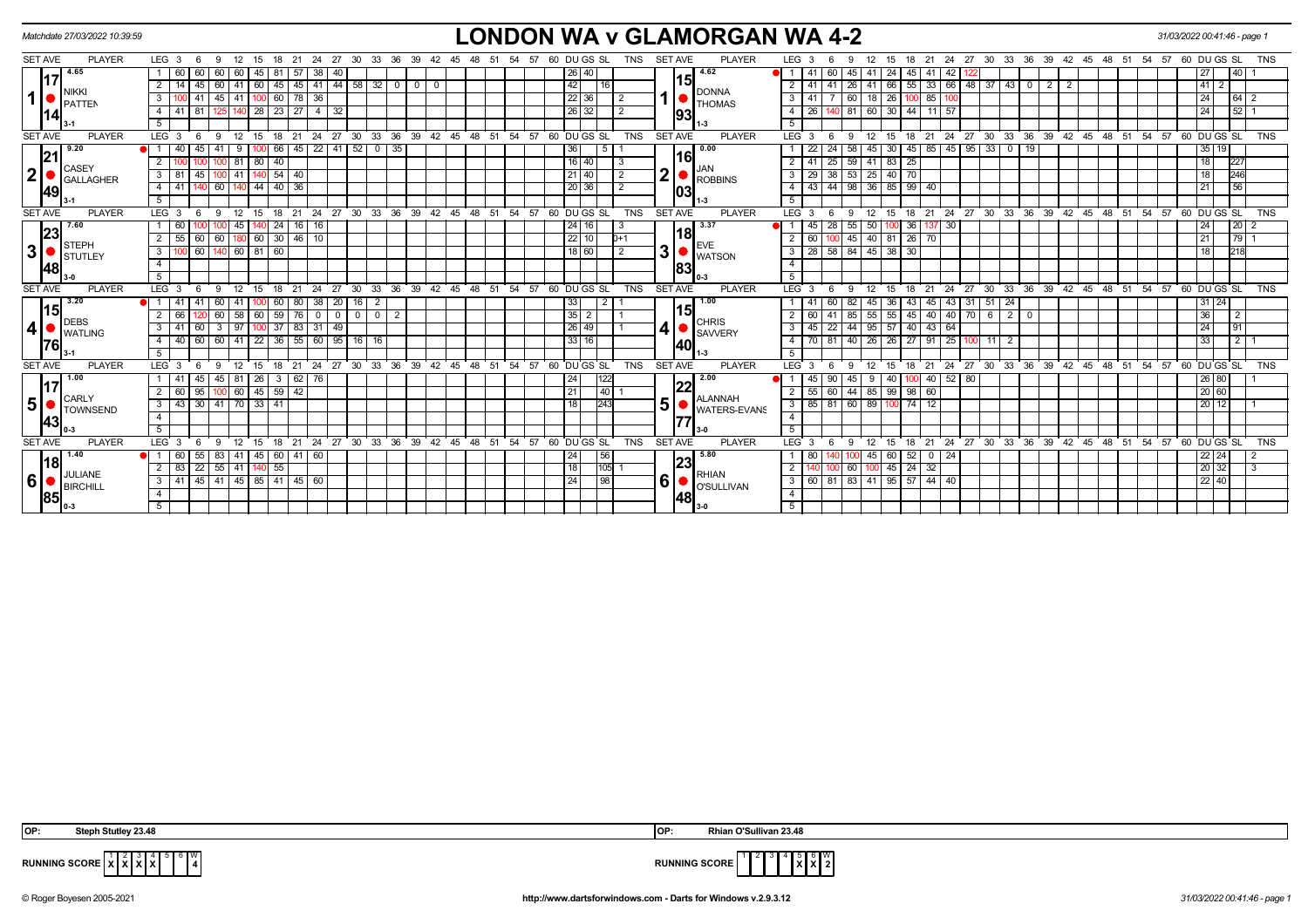|                | Matchdate 27/03/2022 10:39:59  |                                                                                |                                                                         |                                                       | <b>LONDON WA v GLAMORGAN WA 4-2</b>                                                                                                                | 31/03/2022 00:41:46 - page 1       |
|----------------|--------------------------------|--------------------------------------------------------------------------------|-------------------------------------------------------------------------|-------------------------------------------------------|----------------------------------------------------------------------------------------------------------------------------------------------------|------------------------------------|
| <b>SET AVE</b> | <b>PLAYER</b>                  | LEG <sub>3</sub><br>- 6<br>-9                                                  | 27<br>30<br>33<br>36<br>-39<br>-21<br>24                                | 60 DU GS SL<br>TNS<br>-54<br>57                       | <b>SET AVE</b><br><b>PLAYER</b><br>LEG <sub>3</sub><br>33<br>36<br>39<br>18<br>24<br>27<br>30<br>-42<br>- 45<br>48<br>- 51<br>-54<br>15            | 60 DU GS SL<br>TNS<br>- 57         |
|                | 4.65<br>17                     | 60<br>60<br>-60 I<br>60<br>45 I                                                | 57<br>38                                                                | 26 40                                                 | 4.62<br>60<br>45<br>24<br>45                                                                                                                       | 40 I                               |
|                | Inikki                         | 45 60 41<br>-14                                                                | 60   45   45   41   44   58   32   0  <br>$\mathbf 0$<br>$\overline{0}$ | 42<br>  16                                            | 15<br>66   55   33   66   48   37   43   0  <br>41<br>$2 \mid 2$<br>$2 \mid 41$<br>$\begin{array}{ c c }\n\hline\n26 & 41\n\end{array}$            | 41<br>2                            |
| $\mathbf{1}$   | <b>PATTEN</b>                  | 41 45 41<br>$100$ 60 $78$<br>3                                                 | 36                                                                      | 22 36 <br>2                                           | <b>DONNA</b><br>60 18 26 100 85<br>$3 \mid 41$<br>100<br><b>THOMAS</b>                                                                             | 24<br>$64 \mid 2$                  |
|                |                                | 4   41<br>-81 I<br>1251 140                                                    | $28 \mid 23 \mid 27 \mid 4 \mid 32$                                     | $26 \mid 32 \mid$                                     | 140 81 60 30 44<br>$11$ 57<br>$4 \mid 26$<br>93                                                                                                    | $52$ 1<br>$\overline{24}$          |
|                | 14                             |                                                                                |                                                                         |                                                       | 5 <sup>1</sup>                                                                                                                                     |                                    |
| <b>SET AVE</b> | <b>PLAYER</b>                  | LEG <sub>3</sub><br>12<br>- 6<br>-9<br>15 18                                   | $24$ 27 30<br>$^{\circ}$ 21                                             | 33 36 39 42 45 48 51 54 57 60 DUGS SL<br><b>TNS</b>   | 24 27 30 33 36 39 42 45 48 51 54 57 60 DUGS SL<br><b>SET AVE</b><br><b>PLAYER</b><br>$LEG^{\prime}$ 3<br>18 21<br>- 6<br>-9<br>12<br>15            | <b>TNS</b>                         |
|                | 9.20  <br> 21                  | $100$ 66<br>40<br>41<br>9                                                      | $145$   22   41   52   0   35                                           | 5<br>l 36 I                                           | 30 45 85 45 95 33 0 19<br>$\overline{0.00}$<br>24<br>58 1<br>45<br>22                                                                              | 35 <sub>1</sub><br>19              |
|                | CASEY                          | $100$ 81<br>80 40<br>$\overline{2}$                                            |                                                                         | 16 40<br>-3                                           | l16I<br>25<br>$83 \mid 25$<br>59 41<br>$2 \mid 41$                                                                                                 | 227<br>$\overline{18}$             |
| $\mathbf{2}$   | <b>GALLAGHER</b>               | 45 100 41<br>$140$ 54 $40$<br>$3 \mid 81$                                      |                                                                         | 21   40  <br>2                                        | JAN<br>$\mathbf 2$<br>$38 \mid 53 \mid 25 \mid 40 \mid 70$<br>$3 \mid 29$<br><b>ROBBINS</b>                                                        | 246<br>18                          |
|                | 49                             | $144$ 40 $36$<br>$4 \mid 41$<br>140 60 140                                     |                                                                         | 20 36 <br>2                                           | 4 43 44 98 36 85 99 40<br>1031                                                                                                                     | 56<br>21                           |
|                |                                | 5 <sup>7</sup>                                                                 |                                                                         |                                                       | $5-1$                                                                                                                                              |                                    |
| <b>SET AVE</b> | <b>PLAYER</b>                  | LEG <sub>3</sub><br>12<br>15<br>18<br>6<br>-9                                  | 21                                                                      | 24 27 30 33 36 39 42 45 48 51 54 57 60 DUGS SL<br>TNS | <b>SET AVE</b><br><b>PLAYER</b><br>24 27 30 33 36 39 42 45 48 51 54 57 60 DUGS SL<br>LEG <sub>3</sub><br>18 21<br>12<br>15<br>-6<br>-9             | <b>TNS</b>                         |
|                | 7.60                           | 140 24<br>-60<br>45                                                            | 16 <br>16                                                               | 24 16 <br>-3                                          | 3.37<br> 28 55 <br>50<br>100 36<br>137 30<br>45                                                                                                    | 20 <sup>1</sup><br>24<br>2         |
|                | 23 <br>$\blacksquare$ STEPH    | 60   30   46   10  <br>55<br>60 60 180                                         |                                                                         | $22$ 10<br>$D+1$                                      | 18 <br>100 45 40 81 26 70<br>$2 \mid 60$                                                                                                           | $79$ 1<br>21                       |
| 3 <sup>1</sup> | $\blacksquare$ STUTLEY         | 60   140   60   81   60<br>$3^{\circ}$                                         |                                                                         | 18 60 <br>2                                           | <b>EVE</b><br>3<br>3   28   58   84   45   38   30  <br><b>WATSON</b>                                                                              | 18<br>218                          |
|                | 48                             | $\overline{4}$                                                                 |                                                                         |                                                       | $\overline{4}$<br>1831                                                                                                                             |                                    |
|                |                                | 5                                                                              |                                                                         |                                                       | 5                                                                                                                                                  |                                    |
| <b>SET AVE</b> | <b>PLAYER</b>                  | LEG <sub>3</sub><br>18                                                         | $36 \overline{39}$<br>33<br>24<br>27<br>30<br>21                        | 42 45<br>$48$ 51 54<br>57<br>60 DUGS SL<br><b>TNS</b> | <b>SET AVE</b><br><b>PLAYER</b><br>$LEG^{\prime}$ 3<br>33<br>36<br>39 42 45 48 51<br>24<br>27<br>30<br>12<br>18<br>15                              | $54$ $57$ 60 DUGS SL<br><b>TNS</b> |
|                | 13.20                          |                                                                                | 20<br>38<br>16<br>80                                                    |                                                       | 1.00<br>45<br>43<br>51   24<br>43<br>  31                                                                                                          |                                    |
|                | 15 <br><b>DEBS</b>             | 58<br>60 I<br>59<br>66                                                         | $\overline{0}$<br>$0 \mid 2$<br>76<br>$\Omega$<br>$\Omega$              | $35$   2                                              | 15<br>40<br>41<br>55<br>40<br>$\overline{70}$<br>$6 \mid$<br>$\overline{2}$<br>2 I<br>85<br>55<br>45<br>$\Omega$<br><b>CHRIS</b>                   | 36                                 |
| 4              | <b>WATLING</b>                 | $3 \mid 97$<br>$100$ 37<br>60<br>3   41                                        | 83<br>$31 \mid 49$                                                      | $26$ 49                                               | 22<br>44 95 57 40<br>$43 \mid 64$<br>$3 \mid 45$<br><b>SAVVERY</b>                                                                                 | 24<br>91                           |
|                | 76                             | $60$   41<br>$4 \overline{40}$<br>60 I                                         | 22 36 55 60 95 16 16                                                    | $33 16 $                                              | 40 26 26 27 91 25 100<br>70 81<br>4<br>$11$ 2<br><b>140</b>                                                                                        | 33<br>$\overline{2}$               |
|                |                                | -5                                                                             |                                                                         |                                                       | -5                                                                                                                                                 |                                    |
| <b>SET AVE</b> | <b>PLAYER</b>                  | $18$ 21<br>LEG <sub>3</sub><br>9<br>12<br>15<br>6                              | 24 27 30 33 36 39 42 45 48 51 54 57                                     | 60 DU GS SL<br>TNS                                    | 24 27 30 33 36 39 42 45 48 51 54 57<br><b>SET AVE</b><br><b>PLAYER</b><br>$LEG^3$ 3<br>$18 \quad 21$<br>-9<br>12<br>15<br>6                        | 60 DU GS SL<br>TNS                 |
|                | 1.00<br> 17                    | 45<br>  81<br>$\begin{array}{ c c c c c } \hline 26 & 3 \\ \hline \end{array}$ | 62 76                                                                   | 122<br> 24                                            | 2.00<br>40 100<br>$40$ 52 80<br>45<br>90<br>  45  <br>9                                                                                            | 26 80                              |
|                | CARLY                          | 95 100 60 45 59 42<br>$2 \ 60$                                                 |                                                                         | 40 <br>21                                             | 60 44 85 99 98 60<br>$2 \mid 55$<br><b>ALANNAH</b>                                                                                                 | 20 60                              |
| 5              | <b>TOWNSEND</b>                | 30 41 70 33 41<br>$3 \mid 43$                                                  |                                                                         | 243<br>18                                             | 5<br>3   85   81   60   89   100   74   12<br><b>WATERS-EVANS</b>                                                                                  | 20 <sup>1</sup><br>12              |
|                | 43                             | $\overline{4}$                                                                 |                                                                         |                                                       | $\overline{4}$                                                                                                                                     |                                    |
|                |                                | 5                                                                              |                                                                         |                                                       | 5                                                                                                                                                  |                                    |
| <b>SET AVE</b> | <b>PLAYER</b>                  | LEG <sub>3</sub><br>- 6<br>- 12<br>15<br>18<br>-9                              | 21<br>24 27 30 33 36                                                    | 57 60 DUGS SL<br>39 42 45 48 51<br><b>TNS</b><br>- 54 | <b>SET AVE</b><br><b>PLAYER</b><br>$LEG^3$ 3<br>33 36 39 42 45 48 51<br>$\degree$ 30 $\degree$<br>54.57<br>-9<br>12<br>15<br>18 21<br>24 27<br>- 6 | 60 DU GS SL<br><b>TNS</b>          |
|                | 1.40<br><u> 18</u>             | $\overline{55}$ 83 41<br>45 60 41 60<br>60                                     |                                                                         | 56<br>24                                              | 5.80<br>$60$ 52<br>$0 \mid 24$<br>80<br>45<br> 23                                                                                                  | 22 24<br>$\overline{2}$            |
|                | <b>JULIANE</b>                 | $22 \ 55 \ 41 \ 140 \ 55$<br>$2 \mid 83$                                       |                                                                         | 105 <br>18                                            | $100$ 45 24 32<br>60<br>2<br>100<br><b>RHIAN</b>                                                                                                   | 20 32<br>$\overline{\mathbf{3}}$   |
| 6              | $\blacksquare$ <b>BIRCHILL</b> | $3$ 41 45 41 45 85 41 45 60                                                    |                                                                         | 24<br>98                                              | 6<br>$3   60   81   83   41   95   57   44   40$<br><b>O'SULLIVAN</b>                                                                              | 22 40                              |
|                | 85                             |                                                                                |                                                                         |                                                       | $\overline{4}$<br> 48                                                                                                                              |                                    |
|                |                                | 5 <sup>5</sup>                                                                 |                                                                         |                                                       | $5 \vert$                                                                                                                                          |                                    |
|                |                                |                                                                                |                                                                         |                                                       |                                                                                                                                                    |                                    |

| OP: | Steph Stutley 23.48 | loP: | Rhian O'Sullivan<br>ი 23.48 |
|-----|---------------------|------|-----------------------------|
|     | <u>_</u>            |      |                             |

 **X X**



**RUNNING SCORE**  $\begin{bmatrix} 1 & 2 \\ X & X \end{bmatrix}$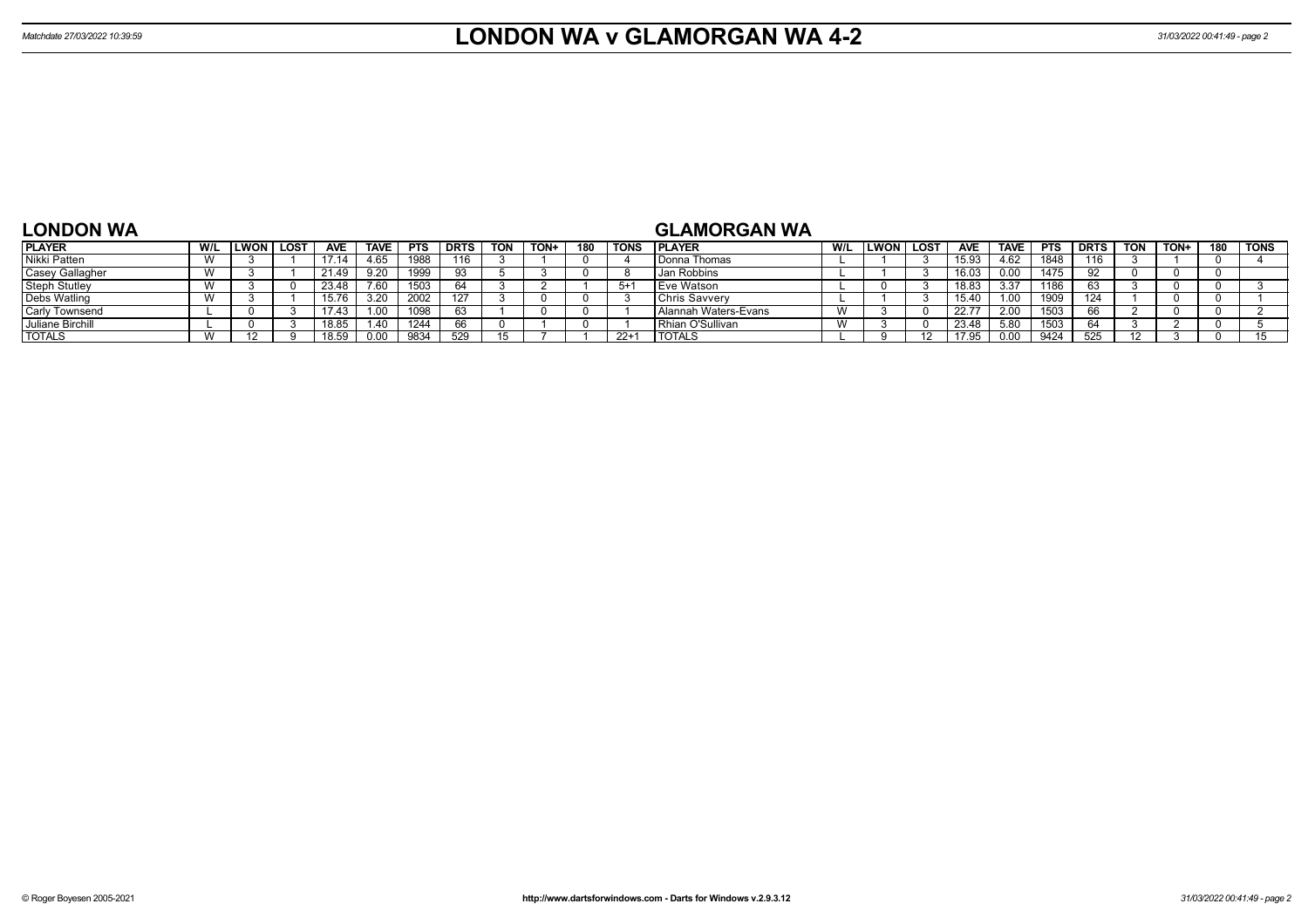# **LONDON WA**

## **GLAMORGAN WA**

| <b>PLAYER</b>          | W/L                      | LWON | LOST | <b>AVE</b> | <b>TAVE</b> | <b>PTS</b> | <b>DRTS</b> | <b>TON</b> | TON+ | 180 | <b>TONS</b> | <b>IPLAYER</b>          | W/L                     | LWON | <b>LOST</b> | <b>AVE</b> | <b>TAVE</b> | <b>PTS</b> | <b>DRTS</b> | <b>TON</b> | TON+ | 180 | <b>TONS</b> |
|------------------------|--------------------------|------|------|------------|-------------|------------|-------------|------------|------|-----|-------------|-------------------------|-------------------------|------|-------------|------------|-------------|------------|-------------|------------|------|-----|-------------|
| Nikki Patten           | $\overline{1}$           |      |      |            | 4.65        | 1988       | 116         |            |      |     |             | l Donna Thomas          |                         |      |             | 15.93      | 4.62        | 1848       | 116         |            |      |     |             |
| <b>Casey Gallagher</b> | <b>181</b>               |      |      | 21.49      | 9.20        | 1999       | 93          |            |      |     |             | Jan Robbins             |                         |      |             | 16.03      | 0.00        | 1475       |             |            |      |     |             |
| <b>Steph Stutley</b>   | $\overline{1}$           |      |      | 23.48      | 7.60        | 1503       |             |            |      |     | 5+1         | <b>Eve Watson</b>       |                         |      |             | 18.83      | 3.37        | 1186       |             |            |      |     |             |
| Debs Watling           | $\overline{1}$           |      |      | 15.76      | 3.20        | 2002       | 127         |            |      |     |             | <b>IChris Savverv</b>   |                         |      |             | 15.40      | 1.00        | 1909       | 124         |            |      |     |             |
| <b>Carly Townsend</b>  |                          |      |      | 17.43      | 1.00        | 1098       | 63          |            |      |     |             | l Alannah Waters-Evans  | $\overline{M}$<br>. V V |      |             | 22.7       | 2.00        | 1503       |             |            |      |     |             |
| Juliane Birchill       |                          |      |      | 18.85      | 1.40        | 1244       |             |            |      |     |             | <b>Rhian O'Sullivan</b> | $\mathbf{M}$<br>. V V   |      |             | 23.48      | 5.80        | 1503       |             |            |      |     |             |
| <b>TOTALS</b>          | $\overline{\phantom{a}}$ |      |      | 18.59      | 0.00        | 9834       | 529         |            |      |     | $22+$       | <b>TOTALS</b>           |                         |      |             |            | 0.00        | 9424       | 525         |            |      |     |             |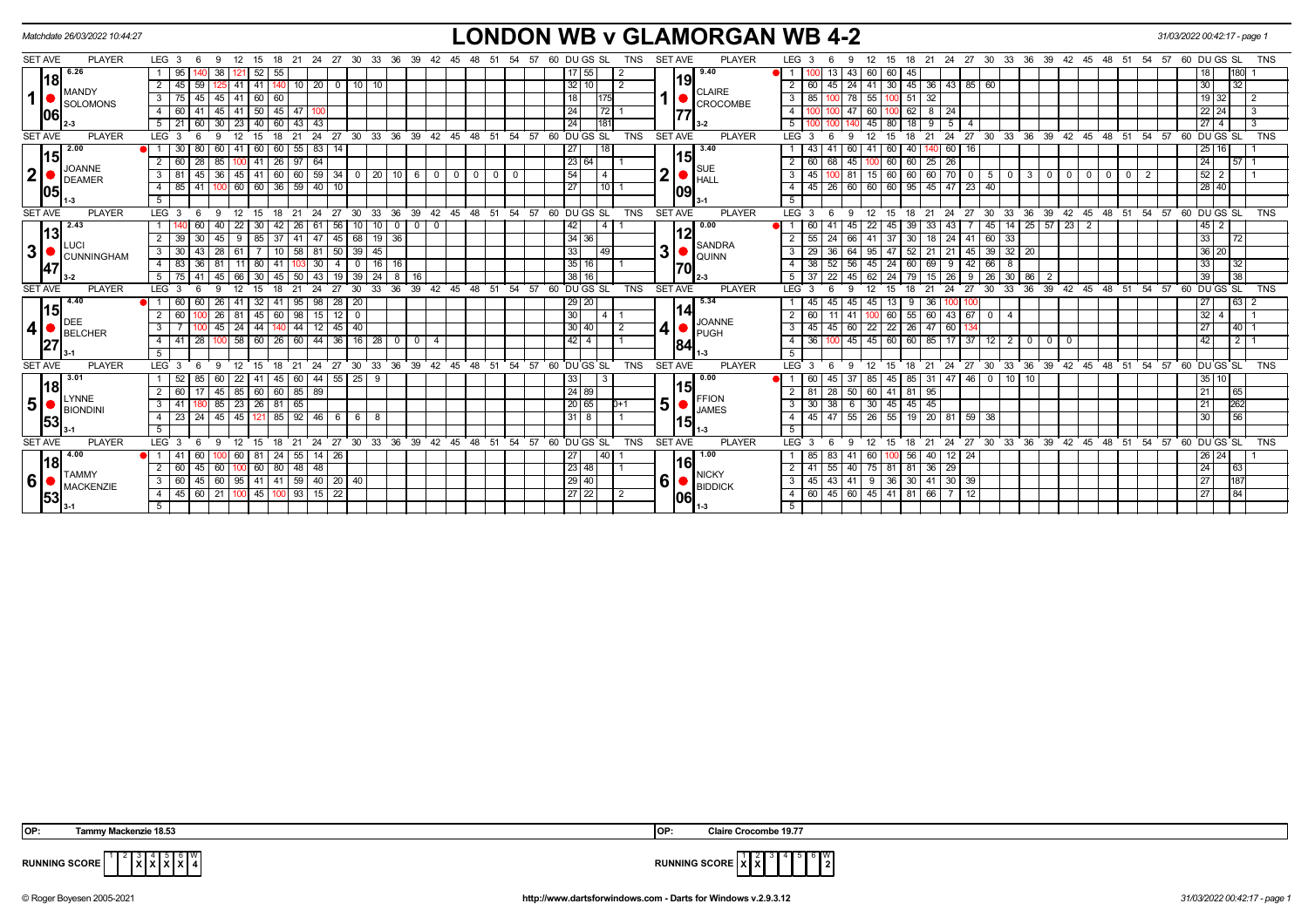| <b>LONDON WB v GLAMORGAN WB 4-2</b><br>Matchdate 26/03/2022 10:44:27<br>31/03/2022 00:42:17 - page 1 |                                                     |                                                                                                           |                                                                                          |                                                                                          |                                             |  |  |  |  |  |  |
|------------------------------------------------------------------------------------------------------|-----------------------------------------------------|-----------------------------------------------------------------------------------------------------------|------------------------------------------------------------------------------------------|------------------------------------------------------------------------------------------|---------------------------------------------|--|--|--|--|--|--|
| <b>SET AVE</b>                                                                                       | <b>PLAYER</b>                                       | LEG <sub>3</sub><br>27 30<br>33<br>21<br>- 36<br>39<br>42<br>- 6<br>-9<br>18<br>-24                       | <b>PLAYER</b><br><b>SET AVE</b><br>60 DU GS SL<br><b>TNS</b><br>- 54<br>57<br>-45        | LEG <sub>3</sub><br>24 27 30 33 36<br>39 42 45<br>21<br>48<br>51<br>15<br>18             | 57 60 DU GS SL<br>54<br><b>TNS</b>          |  |  |  |  |  |  |
|                                                                                                      | 6.26<br> 18 <br>MANDY                               | 38<br>95<br>52 I<br>55                                                                                    | 9.40<br>$17 \mid 55$                                                                     | 13<br>60<br>-43<br>45                                                                    | 180                                         |  |  |  |  |  |  |
|                                                                                                      |                                                     | $125$ 41<br>41   140   10   20   0<br>45<br>59<br>$10 \mid 10$                                            | 19<br>32 10<br><b>CLAIRE</b>                                                             | 45   24   41   30   45   36   43   85   60<br>$\overline{2}$<br>  60                     | 30<br>32                                    |  |  |  |  |  |  |
| $\mathbf{1}$                                                                                         | <b>SOLOMONS</b>                                     | $45 \mid 41$<br>45<br>3                                                                                   | 18 I<br>CROCOMBE                                                                         | 55<br>$51 \mid 32$<br>3   85<br>1001                                                     | 19 <sup>1</sup><br>2                        |  |  |  |  |  |  |
|                                                                                                      | 06                                                  | $50 \mid 45 \mid 47$<br>45<br>  41<br>60                                                                  | 24 I<br> 72                                                                              | $62$   8   24<br>4<br>60<br>IOO                                                          | 22<br>24<br>-3                              |  |  |  |  |  |  |
|                                                                                                      |                                                     | 21<br>30<br>23<br>40 I<br>43<br>43<br>60                                                                  | 24<br>181                                                                                | 80<br>5                                                                                  | 3<br>27                                     |  |  |  |  |  |  |
| <b>SET AVE</b>                                                                                       | <b>PLAYER</b>                                       | 24<br>30 <sup>°</sup><br>LEG <sup>3</sup><br>12<br>21<br>$^{\circ}$ 27<br>۰Q<br>18<br>- 6                 | 33 36 39 42 45 48 51 54 57 60 DUGS SL<br><b>SET AVE</b><br>PLAYER<br><b>TNS</b>          | LEG 3<br>24<br>27 30 33 36 39 42 45 48 51 54 57 60 DUGS SL<br>21<br>Q<br>15<br>18        | <b>TNS</b>                                  |  |  |  |  |  |  |
|                                                                                                      | 2.00<br>15<br><b>JOANNE</b><br><b>DEAMER</b><br> 05 | 55<br>83 14<br>30<br>41<br>60<br>60<br>60 I                                                               | 3.40<br>271<br>18                                                                        | 40 140 60<br>60<br>16<br>60<br>41                                                        | 25<br>16 I                                  |  |  |  |  |  |  |
|                                                                                                      |                                                     | 97<br>60<br>85<br>$41 \mid 26$<br>64<br>28                                                                | 15<br>23 64<br><b>SUE</b>                                                                | $60$   25   26<br>68<br>60<br>$2 \mid 60$<br>45                                          | 24<br>$157$ 1                               |  |  |  |  |  |  |
| $\mathbf{2}$                                                                                         |                                                     | $36 \mid 45$<br> 41 60 60 59 34 0 20 10 6 0 0 0<br>3 <sup>1</sup><br>81<br>45 I                           | 54<br>$0$   0<br>$\vert$ 4<br><b>HALL</b>                                                | 60 60 70 0 5 0 3 0 0 0<br>$15$ 60<br>$3 \mid 45$<br>$0$ 0<br>-81                         | 52<br>2<br>2 <sub>1</sub><br>$\overline{1}$ |  |  |  |  |  |  |
|                                                                                                      |                                                     | 41   100   60   60   36   59   40   10<br>85<br>$\overline{4}$                                            | 27<br>$110$ 1<br> 09                                                                     | 26   60   60   60   95   45   47   23   40  <br>4   45                                   | 28 40                                       |  |  |  |  |  |  |
|                                                                                                      |                                                     | -5                                                                                                        |                                                                                          | -5                                                                                       |                                             |  |  |  |  |  |  |
| <b>SET AVE</b>                                                                                       | <b>PLAYER</b>                                       | $33^\circ$<br>LEG <sub>3</sub><br>12<br>21<br>24<br>27<br>30<br>- 6<br>18                                 | 36 39 42 45 48 51 54 57 60 DU GS SL<br>TNS<br><b>SET AVE</b><br>PLAYER                   | 21 24 27 30 33 36 39 42 45 48 51 54 57 60 DUGS SL<br>$LEG$ 3<br>15<br>12<br>18<br>-9     | <b>TNS</b>                                  |  |  |  |  |  |  |
|                                                                                                      | 2.43<br> 13 <br>LUCI<br><b>CUNNINGHAM</b><br>47     | -22<br>56<br>$^{\circ}$<br>26<br>0 <sub>1</sub><br>0                                                      | 0.00<br>42<br>$\overline{a}$                                                             | $25 \mid 57 \mid 23 \mid 2$<br>14<br>45<br>43<br>45 I<br>45                              | 45 I<br>2                                   |  |  |  |  |  |  |
|                                                                                                      |                                                     | 85 I<br>471<br>45<br>68<br>  19   36  <br>-37<br>41                                                       | 12<br>34 36<br><b>SANDRA</b>                                                             | 24<br>41 60 33<br>30   18  <br>24<br>37                                                  | 33<br>72                                    |  |  |  |  |  |  |
| $\mathbf{3}$                                                                                         |                                                     | 3<br>30<br>10<br>58<br>39<br>l 45<br>28<br>81 50                                                          | 3<br>33<br>  49<br><b>QUINN</b>                                                          | $52$   21   21<br>45 39 32 20<br>3<br>47<br>36                                           | 36<br>20 <sub>1</sub>                       |  |  |  |  |  |  |
|                                                                                                      |                                                     | 83<br>80 l<br>30<br>16                                                                                    | 35 16<br>170                                                                             | 52<br>$\overline{4}$<br>24<br>9<br>42<br>8<br>60 I                                       | 33<br>32                                    |  |  |  |  |  |  |
|                                                                                                      |                                                     | 24<br>8<br>50                                                                                             | 38116                                                                                    | 30<br>86<br>26                                                                           | 38<br>39                                    |  |  |  |  |  |  |
| <b>SET AVE</b>                                                                                       | <b>PLAYER</b>                                       | 39<br>42<br><b>LEG</b><br>30<br>33<br>36                                                                  | ີ 45<br>48<br>51 54 57 60 DUGS SL<br><b>TNS</b><br><b>SET AVE</b><br><b>PLAYER</b>       | 36<br>$39 \t 42$<br>$48$ 51 54<br>LEG <sup>3</sup><br>24<br>27<br>30<br>33<br>45         | 57<br>60 DU GS SL<br><b>TNS</b>             |  |  |  |  |  |  |
|                                                                                                      | 4.40                                                | 98 28 20<br>26<br>-32 I<br>41<br>95<br>-41                                                                | 5.34<br>29 20                                                                            | 45<br>13<br>-9<br>- 36 I<br>45<br>100                                                    | 27<br>63 2                                  |  |  |  |  |  |  |
|                                                                                                      | 15 <br><b>DEE</b>                                   | $145$ 60 98 15 12<br>$26$ 81<br>$\overline{\mathbf{0}}$<br>60                                             | 30<br> 4 <br><b>JOANNE</b>                                                               | 60<br>$55 \mid 60 \mid 43 \mid 67 \mid 0 \mid 4$<br>2   60<br>11 <sup>1</sup><br>-41     | 32                                          |  |  |  |  |  |  |
| 4                                                                                                    | <b>BELCHER</b>                                      | $45 \mid 24$<br>44   140   44   12   45   40<br>3                                                         | $30   40$<br>2<br>PUGH                                                                   | 45<br>60 22 22 26 47 60<br>$3 \mid 45$                                                   | 27<br>$140$ 1                               |  |  |  |  |  |  |
|                                                                                                      | 27                                                  | $100$ 58<br>  60   44   36   16   28   0   0<br>$\vert$ 28<br>60 26<br>41<br>$\overline{4}$<br>4 I        | $42$   4<br>84                                                                           | $45 \ 60$<br>60 85 17 37 12 2<br>$4 \mid 36$<br>45<br>$\overline{0}$<br>$\circ$ 1<br>- 0 | 42<br>$2 \mid 1$                            |  |  |  |  |  |  |
|                                                                                                      |                                                     |                                                                                                           |                                                                                          |                                                                                          |                                             |  |  |  |  |  |  |
| <b>SET AVE</b>                                                                                       | <b>PLAYER</b>                                       | LEG <sub>3</sub><br>30<br>33<br>$36^\circ$<br>$39 \t 42 \t 45$<br>12<br>21<br>24<br>27<br>- 6<br>-9<br>18 | <b>PLAYER</b><br>54<br>60 DU GS SL<br><b>TNS</b><br><b>SET AVE</b><br>48<br>51<br>57     | $LEG$ 3<br>24 27 30 33 36 39 42 45<br>$48 \t 51$<br>12<br>18<br>21<br>-9<br>15           | 54<br>57<br>60 DU GS SL<br><b>TNS</b>       |  |  |  |  |  |  |
|                                                                                                      | 3.01<br> 18                                         | 22<br>44 55 25 9<br>41   45<br>60<br>60                                                                   | 0.00<br>33<br>- 3<br>15                                                                  | 85 31 47 46 0<br>10<br>10<br>45  <br>45  <br>85                                          | 10 I<br>35                                  |  |  |  |  |  |  |
|                                                                                                      | <b>LYNNE</b>                                        | $\overline{2}$<br>$45 \mid 85$<br>60 60 85 89<br>60                                                       | 24 89<br><b>FFION</b>                                                                    | $\sqrt{28}$<br>50 60 41 81 95<br>$2 \mid 81 \mid$                                        | 21<br> 65                                   |  |  |  |  |  |  |
| 5                                                                                                    | BIONDINI<br> 53                                     | 180 85 23 26 81 65<br>3   41                                                                              | 5<br>20 65 <br>$D+1$<br><b>JAMES</b>                                                     | $3$   30   38   6   30   45   45   45                                                    | 262<br>21                                   |  |  |  |  |  |  |
|                                                                                                      |                                                     | 23   24   45   45   121   85   92   46   6   6   8<br>$\overline{4}$                                      | $31 \mid 8$                                                                              | 4   45   47   55   26   55   19   20   81   59   38                                      | $\overline{56}$<br>30                       |  |  |  |  |  |  |
|                                                                                                      |                                                     | 5                                                                                                         | 1-3                                                                                      | 5                                                                                        |                                             |  |  |  |  |  |  |
| <b>SET AVE</b>                                                                                       | <b>PLAYER</b>                                       | LEG <sub>3</sub><br>15<br>18<br>21<br>- 6<br>-9<br>12                                                     | 24 27 30 33 36 39 42 45 48 51 54 57 60 DUGS SL<br>TNS<br><b>SET AVE</b><br><b>PLAYER</b> | 15 18 21 24 27 30 33 36 39 42 45 48 51 54 57 60 DUGS SL<br>LEG <sub>3</sub><br>12<br>-9  | <b>TNS</b>                                  |  |  |  |  |  |  |
|                                                                                                      | 4.00<br> 18 <br><b>TAMMY</b>                        | 100 60 81 24 55 14 26<br>60<br>41                                                                         | 1.00<br>27 <sup>1</sup><br>40<br>161                                                     | 56 40 12 24<br>83<br>60 I                                                                | 26 24                                       |  |  |  |  |  |  |
|                                                                                                      |                                                     | 60 80 48 48<br>$\overline{2}$<br>60<br>45<br>60                                                           | 23 48<br><b>NICKY</b>                                                                    | 55<br>40 75 81 81 36 29<br>$2 \mid 41$                                                   | 24<br>63                                    |  |  |  |  |  |  |
| 6                                                                                                    | MACKENZIE                                           | 45 60 95 41 41 59 40 20 40<br>60<br>$3^{\circ}$                                                           | 6<br>29 40<br><b>BIDDICK</b>                                                             | $43 \mid 41$<br>9 36 30 41 30 39<br>$3 \mid 45$                                          | 187<br>27                                   |  |  |  |  |  |  |
|                                                                                                      | 53                                                  | $45$ 100 93 15 22<br>45 60 21 100<br>4                                                                    | 27 22<br>$\overline{2}$<br> 06                                                           | 45 60 45 41 81 66 7 12<br>4   60                                                         | 27<br>84                                    |  |  |  |  |  |  |
|                                                                                                      |                                                     | -5                                                                                                        |                                                                                          | 5 <sup>1</sup>                                                                           |                                             |  |  |  |  |  |  |

| OP:<br>OP.<br>Claire<br>ิ 18.5.<br>яп<br>Tammv Macl<br>--------<br>. Crocombe<br>ckenzie<br>. |
|-----------------------------------------------------------------------------------------------|
|-----------------------------------------------------------------------------------------------|

**RUNNING SCORE**  $\begin{bmatrix} 1 & 2 & 3 & 4 & 5 & 6 & W \\ & X & X & X & X & 4 & 5 \end{bmatrix}$ 



© Roger Boyesen 2005-2021 **http://www.dartsforwindows.com - Darts for Windows v.2.9.3.12** *31/03/2022 00:42:17 - page 1*